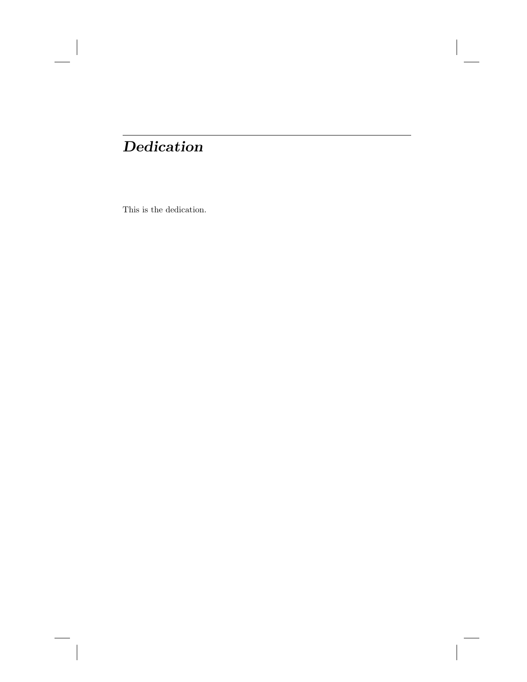### Dedication

This is the dedication.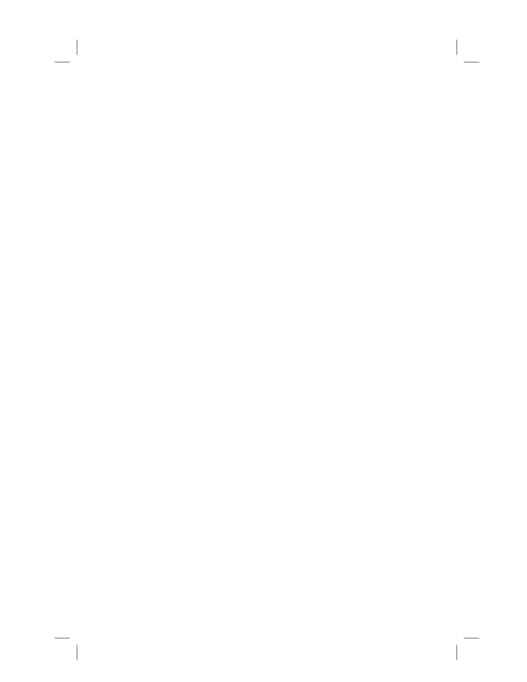$\frac{1}{2}$  $\begin{array}{|c|c|} \hline \quad \quad & \quad \\ \hline \quad \quad & \quad \\ \hline \quad \quad & \quad \\ \hline \end{array}$  $\frac{1}{\sqrt{2\pi}}$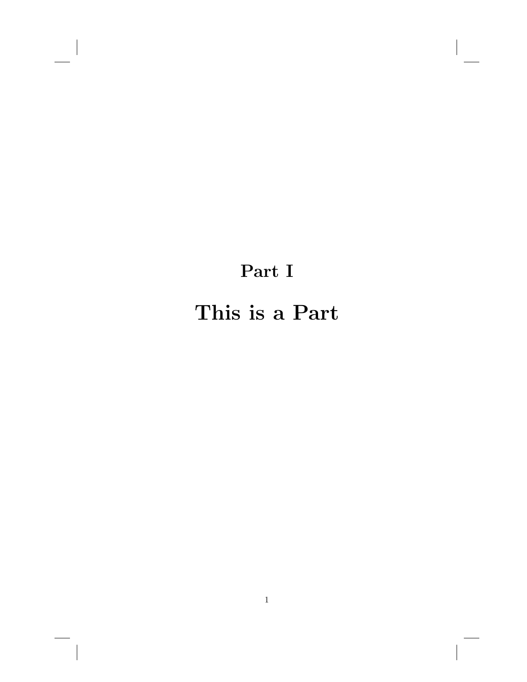## Part I

# This is a Part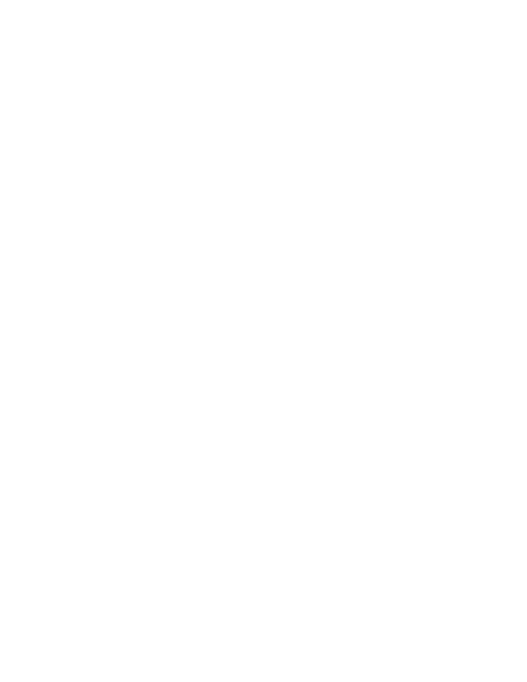$\frac{1}{2}$  $\begin{array}{|c|c|} \hline \quad \quad & \quad \\ \hline \quad \quad & \quad \\ \hline \quad \quad & \quad \\ \hline \end{array}$  $\frac{1}{\sqrt{2\pi}}$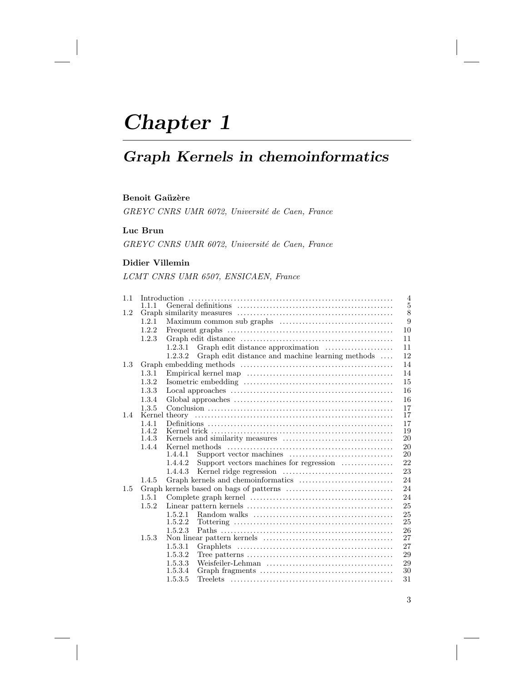## Chapter 1

### Graph Kernels in chemoinformatics

#### Benoit Gaüzère

GREYC CNRS UMR 6072, Université de Caen, France

#### Luc Brun

GREYC CNRS UMR 6072, Université de Caen, France

#### Didier Villemin

LCMT CNRS UMR 6507, ENSICAEN, France

| 1.1           |                  |                                                                                                                                                                                                                                                                                                                                                                                                                                                                                                                                                      | $\overline{4}$<br>5 |
|---------------|------------------|------------------------------------------------------------------------------------------------------------------------------------------------------------------------------------------------------------------------------------------------------------------------------------------------------------------------------------------------------------------------------------------------------------------------------------------------------------------------------------------------------------------------------------------------------|---------------------|
|               | 111              |                                                                                                                                                                                                                                                                                                                                                                                                                                                                                                                                                      |                     |
| 1.2           |                  |                                                                                                                                                                                                                                                                                                                                                                                                                                                                                                                                                      | $\overline{8}$      |
|               | 1.2.1            |                                                                                                                                                                                                                                                                                                                                                                                                                                                                                                                                                      | 9                   |
|               | 1.2.2            |                                                                                                                                                                                                                                                                                                                                                                                                                                                                                                                                                      | 10                  |
|               | 1.2.3            |                                                                                                                                                                                                                                                                                                                                                                                                                                                                                                                                                      | 11                  |
|               |                  |                                                                                                                                                                                                                                                                                                                                                                                                                                                                                                                                                      | 11                  |
|               | 1.2.3.2          | Graph edit distance and machine learning methods                                                                                                                                                                                                                                                                                                                                                                                                                                                                                                     | 12                  |
| $1.3\,$       |                  |                                                                                                                                                                                                                                                                                                                                                                                                                                                                                                                                                      | 14                  |
|               | 1.3.1            |                                                                                                                                                                                                                                                                                                                                                                                                                                                                                                                                                      | 14                  |
|               | 1.3.2            |                                                                                                                                                                                                                                                                                                                                                                                                                                                                                                                                                      | 15                  |
|               | 1.3.3            |                                                                                                                                                                                                                                                                                                                                                                                                                                                                                                                                                      | 16                  |
|               | 1.3.4            |                                                                                                                                                                                                                                                                                                                                                                                                                                                                                                                                                      | 16                  |
|               | 1.3.5            |                                                                                                                                                                                                                                                                                                                                                                                                                                                                                                                                                      | 17                  |
| $1.4^{\circ}$ |                  |                                                                                                                                                                                                                                                                                                                                                                                                                                                                                                                                                      | 17                  |
|               | 1.4.1            |                                                                                                                                                                                                                                                                                                                                                                                                                                                                                                                                                      | 17                  |
|               | 1.4.2            |                                                                                                                                                                                                                                                                                                                                                                                                                                                                                                                                                      | 19                  |
|               | 1.4.3            |                                                                                                                                                                                                                                                                                                                                                                                                                                                                                                                                                      | 20                  |
|               | 1.4.4<br>1.4.4.1 |                                                                                                                                                                                                                                                                                                                                                                                                                                                                                                                                                      | 20<br>20            |
|               | 1.4.4.2          | Support vectors machines for regression                                                                                                                                                                                                                                                                                                                                                                                                                                                                                                              | 22                  |
|               | 1.4.4.3          |                                                                                                                                                                                                                                                                                                                                                                                                                                                                                                                                                      | 23                  |
|               | 1.4.5            |                                                                                                                                                                                                                                                                                                                                                                                                                                                                                                                                                      | 24                  |
| $1.5\,$       |                  |                                                                                                                                                                                                                                                                                                                                                                                                                                                                                                                                                      | 24                  |
|               | 1.5.1            |                                                                                                                                                                                                                                                                                                                                                                                                                                                                                                                                                      | 24                  |
|               | 1.5.2            |                                                                                                                                                                                                                                                                                                                                                                                                                                                                                                                                                      | 25                  |
|               | 1.5.2.1          |                                                                                                                                                                                                                                                                                                                                                                                                                                                                                                                                                      | 25                  |
|               | 1.5.2.2          |                                                                                                                                                                                                                                                                                                                                                                                                                                                                                                                                                      | 25                  |
|               | 1.5.2.3          |                                                                                                                                                                                                                                                                                                                                                                                                                                                                                                                                                      | 26                  |
|               | 1.5.3            | Non linear pattern kernels $\hspace{0.1cm} \ldots \hspace{0.1cm} \ldots \hspace{0.1cm} \ldots \hspace{0.1cm} \ldots \hspace{0.1cm} \ldots \hspace{0.1cm} \ldots \hspace{0.1cm} \ldots \hspace{0.1cm} \ldots \hspace{0.1cm} \ldots \hspace{0.1cm} \ldots \hspace{0.1cm} \ldots \hspace{0.1cm} \ldots \hspace{0.1cm} \ldots \hspace{0.1cm} \ldots \hspace{0.1cm} \ldots \hspace{0.1cm} \ldots$                                                                                                                                                         | 27                  |
|               | 1.5.3.1          |                                                                                                                                                                                                                                                                                                                                                                                                                                                                                                                                                      | 27                  |
|               | 1.5.3.2          |                                                                                                                                                                                                                                                                                                                                                                                                                                                                                                                                                      | 29                  |
|               | 1.5.3.3          |                                                                                                                                                                                                                                                                                                                                                                                                                                                                                                                                                      | 29                  |
|               | 1.5.3.4          |                                                                                                                                                                                                                                                                                                                                                                                                                                                                                                                                                      | 30                  |
|               | 1.5.3.5          | $\begin{minipage}{0.9\linewidth} \textbf{Treelets} \end{minipage} \begin{minipage}{0.9\linewidth} \textbf{Treelets} \end{minipage} \begin{minipage}{0.9\linewidth} \textbf{Treelets} \end{minipage} \begin{minipage}{0.9\linewidth} \textbf{Treelets} \end{minipage} \begin{minipage}{0.9\linewidth} \textbf{Treelets} \end{minipage} \begin{minipage}{0.9\linewidth} \textbf{Treelets} \end{minipage} \begin{minipage}{0.9\linewidth} \textbf{Treelets} \end{minipage} \begin{minipage}{0.9\linewidth} \textbf{Treelets} \end{minipage} \begin{min$ | 31                  |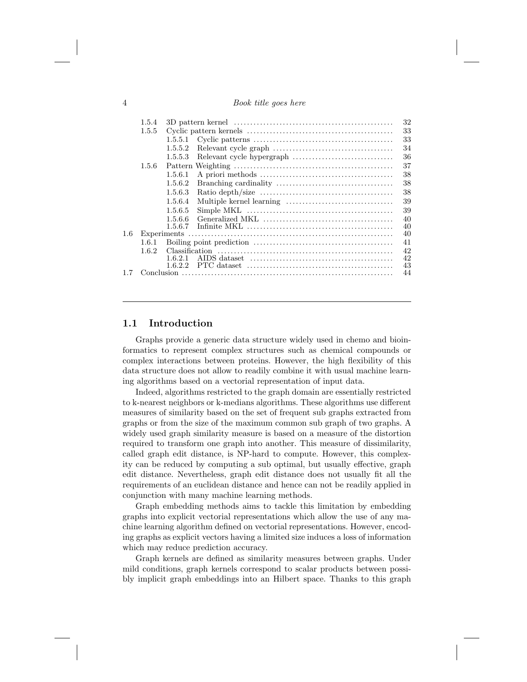|     | 1.5.4 |         | 32 |
|-----|-------|---------|----|
|     |       |         |    |
|     | 1.5.5 |         | 33 |
|     |       | 1.5.5.1 | 33 |
|     |       | 1.5.5.2 | 34 |
|     |       | 1.5.5.3 | 36 |
|     | 1.5.6 |         | 37 |
|     |       | 1.5.6.1 | 38 |
|     |       | 1.5.6.2 | 38 |
|     |       | 1.5.6.3 | 38 |
|     |       | 1.5.6.4 | 39 |
|     |       | 1.5.6.5 | 39 |
|     |       | 1.5.6.6 | 40 |
|     |       | 1.5.6.7 | 40 |
| 1.6 |       |         | 40 |
|     | 1.6.1 |         | 41 |
|     | 1.6.2 |         | 42 |
|     |       | 1621    | 42 |
|     |       | 1.6.2.2 | 43 |
|     |       |         | 44 |

#### 1.1 Introduction

Graphs provide a generic data structure widely used in chemo and bioinformatics to represent complex structures such as chemical compounds or complex interactions between proteins. However, the high flexibility of this data structure does not allow to readily combine it with usual machine learning algorithms based on a vectorial representation of input data.

Indeed, algorithms restricted to the graph domain are essentially restricted to k-nearest neighbors or k-medians algorithms. These algorithms use different measures of similarity based on the set of frequent sub graphs extracted from graphs or from the size of the maximum common sub graph of two graphs. A widely used graph similarity measure is based on a measure of the distortion required to transform one graph into another. This measure of dissimilarity, called graph edit distance, is NP-hard to compute. However, this complexity can be reduced by computing a sub optimal, but usually effective, graph edit distance. Nevertheless, graph edit distance does not usually fit all the requirements of an euclidean distance and hence can not be readily applied in conjunction with many machine learning methods.

Graph embedding methods aims to tackle this limitation by embedding graphs into explicit vectorial representations which allow the use of any machine learning algorithm defined on vectorial representations. However, encoding graphs as explicit vectors having a limited size induces a loss of information which may reduce prediction accuracy.

Graph kernels are defined as similarity measures between graphs. Under mild conditions, graph kernels correspond to scalar products between possibly implicit graph embeddings into an Hilbert space. Thanks to this graph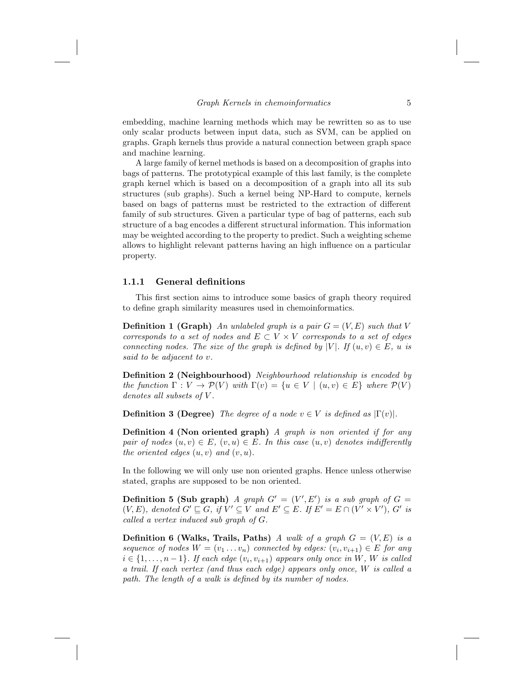embedding, machine learning methods which may be rewritten so as to use only scalar products between input data, such as SVM, can be applied on graphs. Graph kernels thus provide a natural connection between graph space and machine learning.

A large family of kernel methods is based on a decomposition of graphs into bags of patterns. The prototypical example of this last family, is the complete graph kernel which is based on a decomposition of a graph into all its sub structures (sub graphs). Such a kernel being NP-Hard to compute, kernels based on bags of patterns must be restricted to the extraction of different family of sub structures. Given a particular type of bag of patterns, each sub structure of a bag encodes a different structural information. This information may be weighted according to the property to predict. Such a weighting scheme allows to highlight relevant patterns having an high influence on a particular property.

#### 1.1.1 General definitions

This first section aims to introduce some basics of graph theory required to define graph similarity measures used in chemoinformatics.

**Definition 1 (Graph)** An unlabeled graph is a pair  $G = (V, E)$  such that V corresponds to a set of nodes and  $E \subset V \times V$  corresponds to a set of edges connecting nodes. The size of the graph is defined by |V|. If  $(u, v) \in E$ , u is said to be adjacent to v.

Definition 2 (Neighbourhood) Neighbourhood relationship is encoded by the function  $\Gamma: V \to \mathcal{P}(V)$  with  $\Gamma(v) = \{u \in V \mid (u, v) \in E\}$  where  $\mathcal{P}(V)$ denotes all subsets of V.

**Definition 3 (Degree)** The degree of a node  $v \in V$  is defined as  $|\Gamma(v)|$ .

**Definition 4 (Non oriented graph)** A graph is non oriented if for any pair of nodes  $(u, v) \in E$ ,  $(v, u) \in E$ . In this case  $(u, v)$  denotes indifferently the oriented edges  $(u, v)$  and  $(v, u)$ .

In the following we will only use non oriented graphs. Hence unless otherwise stated, graphs are supposed to be non oriented.

**Definition 5 (Sub graph)** A graph  $G' = (V', E')$  is a sub graph of  $G =$  $(V, E)$ , denoted  $G' \sqsubseteq G$ , if  $V' \subseteq V$  and  $E' \subseteq E$ . If  $E' = E \cap (V' \times V')$ ,  $G'$  is called a vertex induced sub graph of G.

**Definition 6 (Walks, Trails, Paths)** A walk of a graph  $G = (V, E)$  is a sequence of nodes  $W = (v_1 \dots v_n)$  connected by edges:  $(v_i, v_{i+1}) \in E$  for any  $i \in \{1, \ldots, n-1\}$ . If each edge  $(v_i, v_{i+1})$  appears only once in W, W is called a trail. If each vertex (and thus each edge) appears only once, W is called a path. The length of a walk is defined by its number of nodes.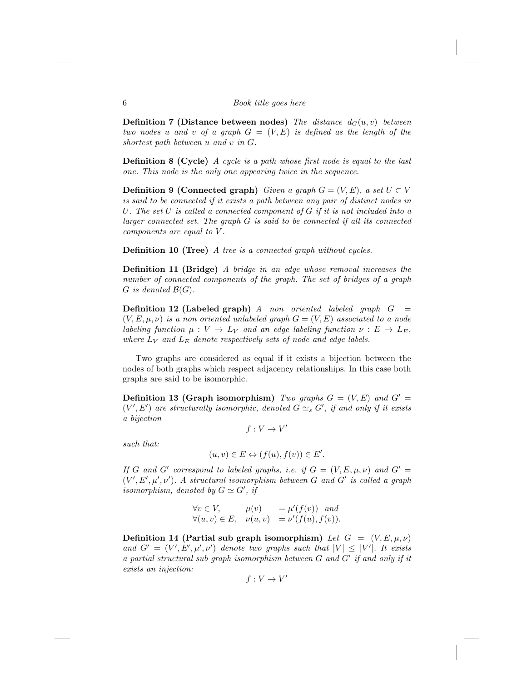**Definition 7 (Distance between nodes)** The distance  $d_G(u, v)$  between two nodes u and v of a graph  $G = (V, E)$  is defined as the length of the shortest path between u and v in G.

**Definition 8 (Cycle)** A cycle is a path whose first node is equal to the last one. This node is the only one appearing twice in the sequence.

**Definition 9 (Connected graph)** Given a graph  $G = (V, E)$ , a set  $U \subset V$ is said to be connected if it exists a path between any pair of distinct nodes in U. The set U is called a connected component of G if it is not included into a larger connected set. The graph G is said to be connected if all its connected components are equal to V .

Definition 10 (Tree) A tree is a connected graph without cycles.

**Definition 11 (Bridge)** A bridge in an edge whose removal increases the number of connected components of the graph. The set of bridges of a graph  $G$  is denoted  $\mathcal{B}(G)$ .

**Definition 12 (Labeled graph)** A non oriented labeled graph  $G =$  $(V, E, \mu, \nu)$  is a non oriented unlabeled graph  $G = (V, E)$  associated to a node labeling function  $\mu : V \to L_V$  and an edge labeling function  $\nu : E \to L_E$ , where  $L_V$  and  $L_E$  denote respectively sets of node and edge labels.

Two graphs are considered as equal if it exists a bijection between the nodes of both graphs which respect adjacency relationships. In this case both graphs are said to be isomorphic.

**Definition 13 (Graph isomorphism)** Two graphs  $G = (V, E)$  and  $G' =$  $(V', E')$  are structurally isomorphic, denoted  $G \simeq_s G'$ , if and only if it exists a bijection

 $f: V \to V'$ 

such that:

$$
(u, v) \in E \Leftrightarrow (f(u), f(v)) \in E'.
$$

If G and G' correspond to labeled graphs, i.e. if  $G = (V, E, \mu, \nu)$  and  $G' =$  $(V', E', \mu', \nu')$ . A structural isomorphism between G and G' is called a graph isomorphism, denoted by  $G \simeq G'$ , if

$$
\forall v \in V, \qquad \mu(v) = \mu'(f(v)) \quad and
$$
  

$$
\forall (u, v) \in E, \quad \nu(u, v) = \nu'(f(u), f(v)).
$$

Definition 14 (Partial sub graph isomorphism) Let  $G = (V, E, \mu, \nu)$ and  $G' = (V', E', \mu', \nu')$  denote two graphs such that  $|V| \leq |V'|$ . It exists  $a$  partial structural sub graph isomorphism between  $G$  and  $G'$  if and only if it exists an injection:

$$
f: V \to V'
$$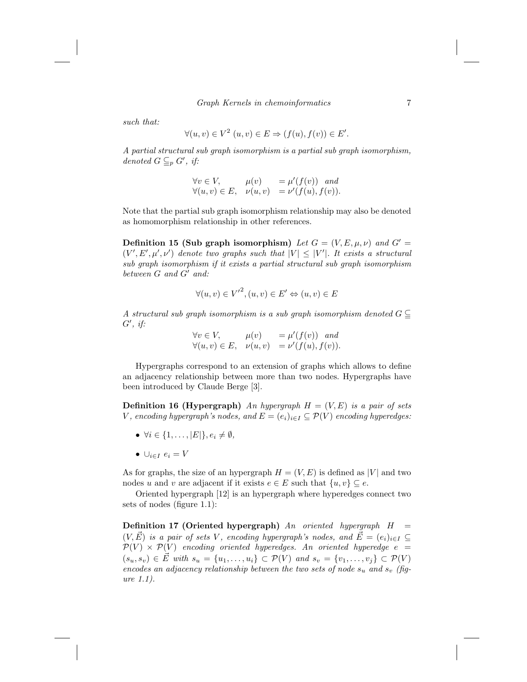Graph Kernels in chemoinformatics 7

such that:

$$
\forall (u, v) \in V^2 \ (u, v) \in E \Rightarrow (f(u), f(v)) \in E'.
$$

A partial structural sub graph isomorphism is a partial sub graph isomorphism, denoted  $G \subseteqq_p G'$ , if:

$$
\forall v \in V, \qquad \mu(v) = \mu'(f(v)) \quad and
$$
  

$$
\forall (u, v) \in E, \quad \nu(u, v) = \nu'(f(u), f(v)).
$$

Note that the partial sub graph isomorphism relationship may also be denoted as homomorphism relationship in other references.

Definition 15 (Sub graph isomorphism) Let  $G = (V, E, \mu, \nu)$  and  $G' =$  $(V', E', \mu', \nu')$  denote two graphs such that  $|V| \leq |V'|$ . It exists a structural sub graph isomorphism if it exists a partial structural sub graph isomorphism between  $G$  and  $G'$  and:

$$
\forall (u, v) \in {V'}^2, (u, v) \in E' \Leftrightarrow (u, v) \in E
$$

A structural sub graph isomorphism is a sub graph isomorphism denoted  $G \subseteq$  $G', \textit{if:}$ 

$$
\forall v \in V, \qquad \mu(v) = \mu'(f(v)) \quad and
$$
  

$$
\forall (u, v) \in E, \quad \nu(u, v) = \nu'(f(u), f(v)).
$$

Hypergraphs correspond to an extension of graphs which allows to define an adjacency relationship between more than two nodes. Hypergraphs have been introduced by Claude Berge [3].

**Definition 16 (Hypergraph)** An hypergraph  $H = (V, E)$  is a pair of sets V, encoding hypergraph's nodes, and  $E = (e_i)_{i \in I} \subseteq \mathcal{P}(V)$  encoding hyperedges:

- $\forall i \in \{1, \ldots, |E|\}, e_i \neq \emptyset,$
- $\cup_{i\in I}$   $e_i = V$

As for graphs, the size of an hypergraph  $H = (V, E)$  is defined as |V| and two nodes u and v are adjacent if it exists  $e \in E$  such that  $\{u, v\} \subseteq e$ .

Oriented hypergraph [12] is an hypergraph where hyperedges connect two sets of nodes (figure 1.1):

Definition 17 (Oriented hypergraph) An oriented hypergraph  $H =$  $(V, \vec{E})$  is a pair of sets V, encoding hypergraph's nodes, and  $\vec{E} = (e_i)_{i \in I} \subseteq$  $\mathcal{P}(V) \times \mathcal{P}(V)$  encoding oriented hyperedges. An oriented hyperedge e =  $(s_u, s_v) \in \vec{E}$  with  $s_u = \{u_1, \ldots, u_i\} \subset \mathcal{P}(V)$  and  $s_v = \{v_1, \ldots, v_j\} \subset \mathcal{P}(V)$ encodes an adjacency relationship between the two sets of node  $s_u$  and  $s_v$  (figure 1.1).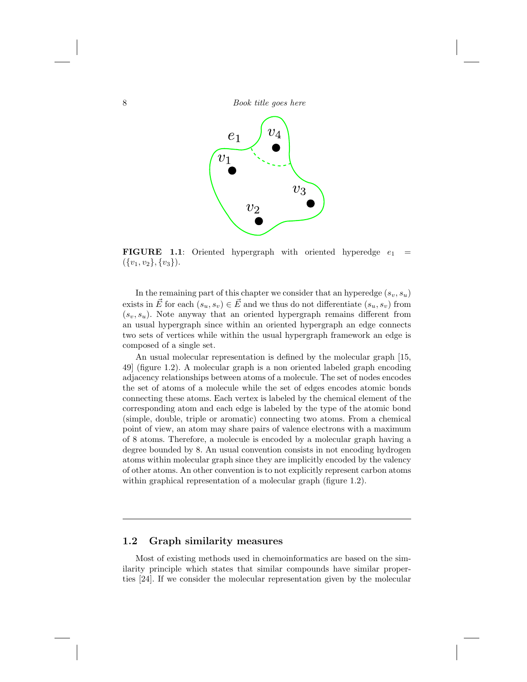

**FIGURE 1.1:** Oriented hypergraph with oriented hyperedge  $e_1$  $({v_1, v_2}, {v_3}).$ 

In the remaining part of this chapter we consider that an hyperedge  $(s_v, s_u)$ exists in  $\vec{E}$  for each  $(s_u, s_v) \in \vec{E}$  and we thus do not differentiate  $(s_u, s_v)$  from  $(s_v, s_u)$ . Note anyway that an oriented hypergraph remains different from an usual hypergraph since within an oriented hypergraph an edge connects two sets of vertices while within the usual hypergraph framework an edge is composed of a single set.

An usual molecular representation is defined by the molecular graph [15, 49] (figure 1.2). A molecular graph is a non oriented labeled graph encoding adjacency relationships between atoms of a molecule. The set of nodes encodes the set of atoms of a molecule while the set of edges encodes atomic bonds connecting these atoms. Each vertex is labeled by the chemical element of the corresponding atom and each edge is labeled by the type of the atomic bond (simple, double, triple or aromatic) connecting two atoms. From a chemical point of view, an atom may share pairs of valence electrons with a maximum of 8 atoms. Therefore, a molecule is encoded by a molecular graph having a degree bounded by 8. An usual convention consists in not encoding hydrogen atoms within molecular graph since they are implicitly encoded by the valency of other atoms. An other convention is to not explicitly represent carbon atoms within graphical representation of a molecular graph (figure 1.2).

#### 1.2 Graph similarity measures

Most of existing methods used in chemoinformatics are based on the similarity principle which states that similar compounds have similar properties [24]. If we consider the molecular representation given by the molecular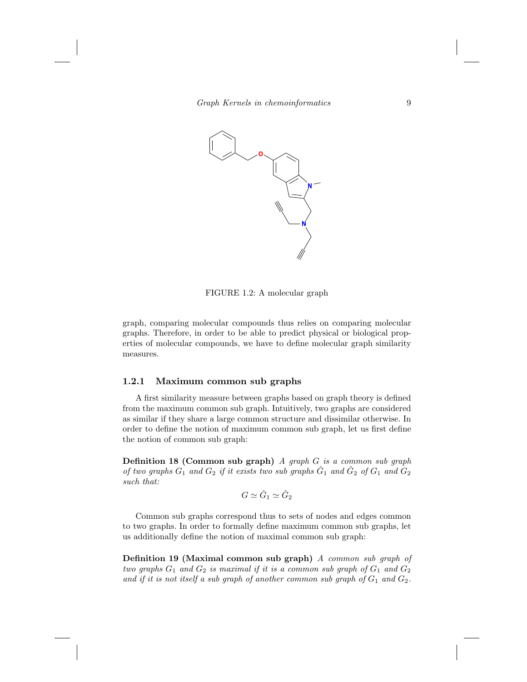Graph Kernels in chemoinformatics 9



FIGURE 1.2: A molecular graph

graph, comparing molecular compounds thus relies on comparing molecular graphs. Therefore, in order to be able to predict physical or biological properties of molecular compounds, we have to define molecular graph similarity measures.

#### 1.2.1 Maximum common sub graphs

A first similarity measure between graphs based on graph theory is defined from the maximum common sub graph. Intuitively, two graphs are considered as similar if they share a large common structure and dissimilar otherwise. In order to define the notion of maximum common sub graph, let us first define the notion of common sub graph:

**Definition 18 (Common sub graph)** A graph  $G$  is a common sub graph of two graphs  $G_1$  and  $G_2$  if it exists two sub graphs  $\hat{G}_1$  and  $\hat{G}_2$  of  $G_1$  and  $\hat{G}_2$ such that:

$$
G \simeq \hat{G}_1 \simeq \hat{G}_2
$$

Common sub graphs correspond thus to sets of nodes and edges common to two graphs. In order to formally define maximum common sub graphs, let us additionally define the notion of maximal common sub graph:

Definition 19 (Maximal common sub graph) A common sub graph of two graphs  $G_1$  and  $G_2$  is maximal if it is a common sub graph of  $G_1$  and  $G_2$ and if it is not itself a sub graph of another common sub graph of  $G_1$  and  $G_2$ .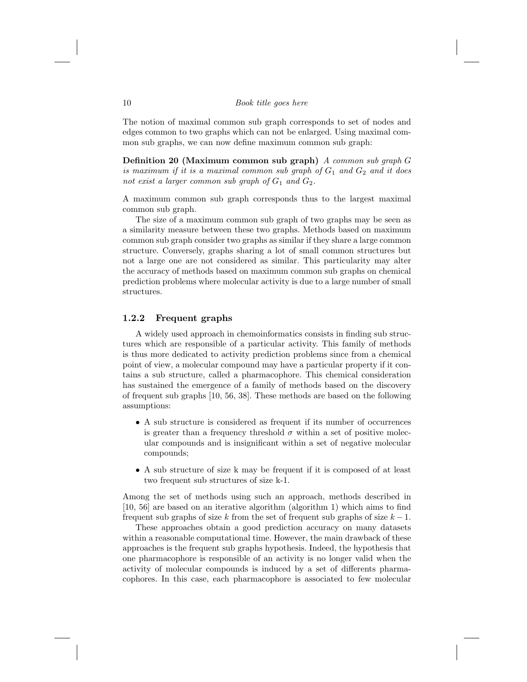The notion of maximal common sub graph corresponds to set of nodes and edges common to two graphs which can not be enlarged. Using maximal common sub graphs, we can now define maximum common sub graph:

**Definition 20 (Maximum common sub graph)** A common sub graph  $G$ is maximum if it is a maximal common sub graph of  $G_1$  and  $G_2$  and it does not exist a larger common sub graph of  $G_1$  and  $G_2$ .

A maximum common sub graph corresponds thus to the largest maximal common sub graph.

The size of a maximum common sub graph of two graphs may be seen as a similarity measure between these two graphs. Methods based on maximum common sub graph consider two graphs as similar if they share a large common structure. Conversely, graphs sharing a lot of small common structures but not a large one are not considered as similar. This particularity may alter the accuracy of methods based on maximum common sub graphs on chemical prediction problems where molecular activity is due to a large number of small structures.

#### 1.2.2 Frequent graphs

A widely used approach in chemoinformatics consists in finding sub structures which are responsible of a particular activity. This family of methods is thus more dedicated to activity prediction problems since from a chemical point of view, a molecular compound may have a particular property if it contains a sub structure, called a pharmacophore. This chemical consideration has sustained the emergence of a family of methods based on the discovery of frequent sub graphs [10, 56, 38]. These methods are based on the following assumptions:

- A sub structure is considered as frequent if its number of occurrences is greater than a frequency threshold  $\sigma$  within a set of positive molecular compounds and is insignificant within a set of negative molecular compounds;
- A sub structure of size k may be frequent if it is composed of at least two frequent sub structures of size k-1.

Among the set of methods using such an approach, methods described in [10, 56] are based on an iterative algorithm (algorithm 1) which aims to find frequent sub graphs of size k from the set of frequent sub graphs of size  $k-1$ .

These approaches obtain a good prediction accuracy on many datasets within a reasonable computational time. However, the main drawback of these approaches is the frequent sub graphs hypothesis. Indeed, the hypothesis that one pharmacophore is responsible of an activity is no longer valid when the activity of molecular compounds is induced by a set of differents pharmacophores. In this case, each pharmacophore is associated to few molecular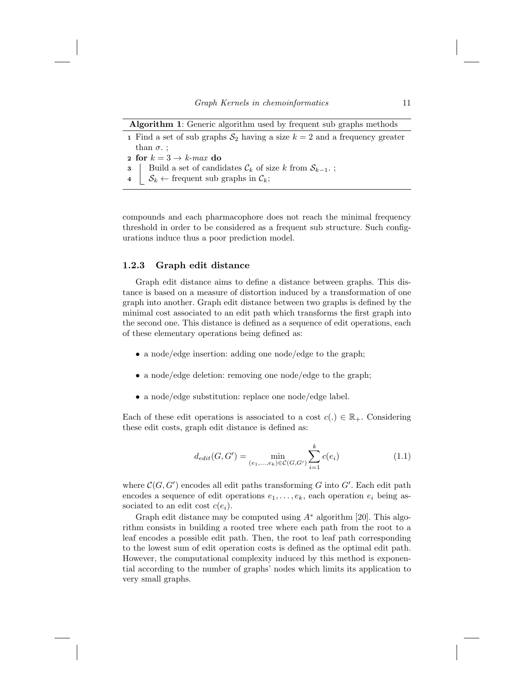| <b>Algorithm 1:</b> Generic algorithm used by frequent sub graphs methods                 |  |  |  |
|-------------------------------------------------------------------------------------------|--|--|--|
| 1 Find a set of sub graphs $S_2$ having a size $k = 2$ and a frequency greater            |  |  |  |
| than $\sigma$ .:                                                                          |  |  |  |
| 2 for $k = 3 \rightarrow k$ -max do                                                       |  |  |  |
| <b>3</b>   Build a set of candidates $\mathcal{C}_k$ of size k from $\mathcal{S}_{k-1}$ ; |  |  |  |
| 4   $S_k \leftarrow$ frequent sub graphs in $\mathcal{C}_k$ ;                             |  |  |  |

compounds and each pharmacophore does not reach the minimal frequency threshold in order to be considered as a frequent sub structure. Such configurations induce thus a poor prediction model.

#### 1.2.3 Graph edit distance

Graph edit distance aims to define a distance between graphs. This distance is based on a measure of distortion induced by a transformation of one graph into another. Graph edit distance between two graphs is defined by the minimal cost associated to an edit path which transforms the first graph into the second one. This distance is defined as a sequence of edit operations, each of these elementary operations being defined as:

- a node/edge insertion: adding one node/edge to the graph;
- a node/edge deletion: removing one node/edge to the graph;
- a node/edge substitution: replace one node/edge label.

Each of these edit operations is associated to a cost  $c(.) \in \mathbb{R}_{+}$ . Considering these edit costs, graph edit distance is defined as:

$$
d_{edit}(G, G') = \min_{(e_1, \dots, e_k) \in \mathcal{C}(G, G')} \sum_{i=1}^{k} c(e_i)
$$
 (1.1)

where  $\mathcal{C}(G, G')$  encodes all edit paths transforming G into G'. Each edit path encodes a sequence of edit operations  $e_1, \ldots, e_k$ , each operation  $e_i$  being associated to an edit cost  $c(e_i)$ .

Graph edit distance may be computed using  $A^*$  algorithm [20]. This algorithm consists in building a rooted tree where each path from the root to a leaf encodes a possible edit path. Then, the root to leaf path corresponding to the lowest sum of edit operation costs is defined as the optimal edit path. However, the computational complexity induced by this method is exponential according to the number of graphs' nodes which limits its application to very small graphs.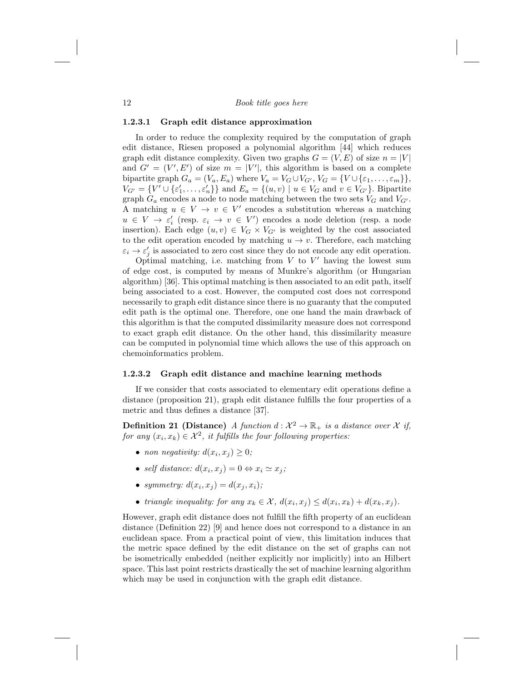#### 1.2.3.1 Graph edit distance approximation

In order to reduce the complexity required by the computation of graph edit distance, Riesen proposed a polynomial algorithm [44] which reduces graph edit distance complexity. Given two graphs  $G = (V, E)$  of size  $n = |V|$ and  $G' = (V', E')$  of size  $m = |V'|$ , this algorithm is based on a complete bipartite graph  $G_a = (V_a, E_a)$  where  $V_a = V_G \cup V_{G'}, V_G = \{V \cup \{\varepsilon_1, \ldots, \varepsilon_m\}\},$  $V_{G'} = \{V' \cup \{\varepsilon'_1, \ldots, \varepsilon'_n\}\}\$ and  $E_a = \{(u, v) \mid u \in V_G\}$  and  $v \in V_{G'}\}$ . Bipartite graph  $G_a$  encodes a node to node matching between the two sets  $V_G$  and  $V_{G'}$ . A matching  $u \in V \to v \in V'$  encodes a substitution whereas a matching  $u \in V \to \varepsilon'_i$  (resp.  $\varepsilon_i \to v \in V'$ ) encodes a node deletion (resp. a node insertion). Each edge  $(u, v) \in V_G \times V_{G'}$  is weighted by the cost associated to the edit operation encoded by matching  $u \to v$ . Therefore, each matching  $\varepsilon_i \to \varepsilon'_j$  is associated to zero cost since they do not encode any edit operation.

Optimal matching, i.e. matching from  $V$  to  $V'$  having the lowest sum of edge cost, is computed by means of Munkre's algorithm (or Hungarian algorithm) [36]. This optimal matching is then associated to an edit path, itself being associated to a cost. However, the computed cost does not correspond necessarily to graph edit distance since there is no guaranty that the computed edit path is the optimal one. Therefore, one one hand the main drawback of this algorithm is that the computed dissimilarity measure does not correspond to exact graph edit distance. On the other hand, this dissimilarity measure can be computed in polynomial time which allows the use of this approach on chemoinformatics problem.

#### 1.2.3.2 Graph edit distance and machine learning methods

If we consider that costs associated to elementary edit operations define a distance (proposition 21), graph edit distance fulfills the four properties of a metric and thus defines a distance [37].

**Definition 21 (Distance)** A function  $d: \mathcal{X}^2 \to \mathbb{R}_+$  is a distance over  $\mathcal{X}$  if, for any  $(x_i, x_k) \in \mathcal{X}^2$ , it fulfills the four following properties:

- non negativity:  $d(x_i, x_j) \geq 0$ ;
- self distance:  $d(x_i, x_j) = 0 \Leftrightarrow x_i \simeq x_j$ ;
- symmetry:  $d(x_i, x_j) = d(x_j, x_i);$
- triangle inequality: for any  $x_k \in \mathcal{X}$ ,  $d(x_i, x_j) \leq d(x_i, x_k) + d(x_k, x_j)$ .

However, graph edit distance does not fulfill the fifth property of an euclidean distance (Definition 22) [9] and hence does not correspond to a distance in an euclidean space. From a practical point of view, this limitation induces that the metric space defined by the edit distance on the set of graphs can not be isometrically embedded (neither explicitly nor implicitly) into an Hilbert space. This last point restricts drastically the set of machine learning algorithm which may be used in conjunction with the graph edit distance.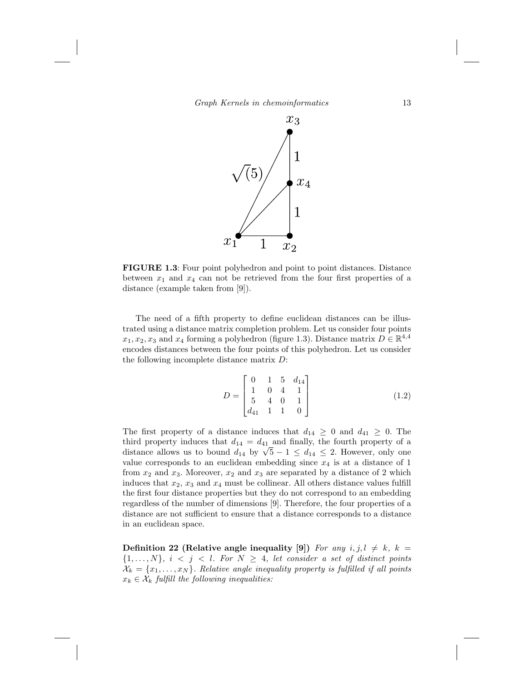Graph Kernels in chemoinformatics 13



FIGURE 1.3: Four point polyhedron and point to point distances. Distance between  $x_1$  and  $x_4$  can not be retrieved from the four first properties of a distance (example taken from [9]).

The need of a fifth property to define euclidean distances can be illustrated using a distance matrix completion problem. Let us consider four points  $x_1, x_2, x_3$  and  $x_4$  forming a polyhedron (figure 1.3). Distance matrix  $D \in \mathbb{R}^{4,4}$ encodes distances between the four points of this polyhedron. Let us consider the following incomplete distance matrix D:

$$
D = \begin{bmatrix} 0 & 1 & 5 & d_{14} \\ 1 & 0 & 4 & 1 \\ 5 & 4 & 0 & 1 \\ d_{41} & 1 & 1 & 0 \end{bmatrix}
$$
 (1.2)

The first property of a distance induces that  $d_{14} \geq 0$  and  $d_{41} \geq 0$ . The third property induces that  $d_{14} = d_{41}$  and finally, the fourth property of a third property induces that  $d_{14} = d_{41}$  and finally, the fourth property of a distance allows us to bound  $d_{14}$  by  $\sqrt{5} - 1 \leq d_{14} \leq 2$ . However, only one value corresponds to an euclidean embedding since  $x_4$  is at a distance of 1 from  $x_2$  and  $x_3$ . Moreover,  $x_2$  and  $x_3$  are separated by a distance of 2 which induces that  $x_2$ ,  $x_3$  and  $x_4$  must be collinear. All others distance values fulfill the first four distance properties but they do not correspond to an embedding regardless of the number of dimensions [9]. Therefore, the four properties of a distance are not sufficient to ensure that a distance corresponds to a distance in an euclidean space.

Definition 22 (Relative angle inequality [9]) For any  $i, j, l \neq k, k =$  $\{1,\ldots,N\}, i \langle j \rangle, i \langle k \rangle$  For  $N \geq 4$ , let consider a set of distinct points  $\mathcal{X}_k = \{x_1, \ldots, x_N\}$ . Relative angle inequality property is fulfilled if all points  $x_k \in \mathcal{X}_k$  fulfill the following inequalities: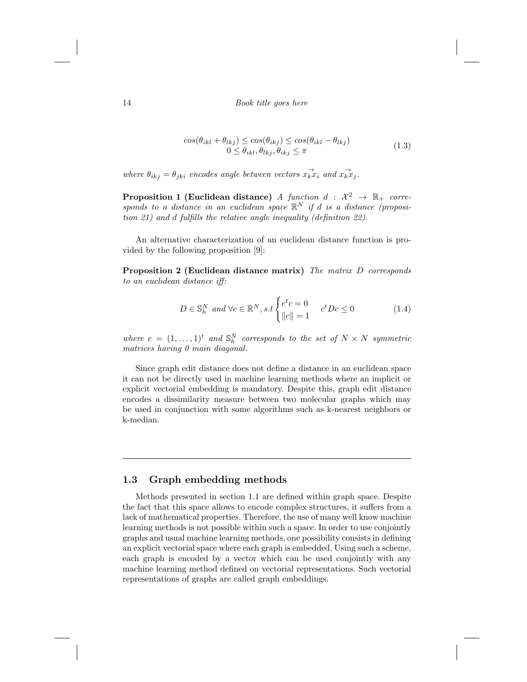$$
\cos(\theta_{ikl} + \theta_{lkj}) \le \cos(\theta_{ikj}) \le \cos(\theta_{ikl} - \theta_{lkj})
$$
  
0 \le \theta\_{ikl}, \theta\_{lkj}, \theta\_{ikj} \le \pi (1.3)

where  $\theta_{ikj} = \theta_{jki}$  encodes angle between vectors  $\overrightarrow{x_kx_i}$  and  $\overrightarrow{x_kx_j}$ .

**Proposition 1 (Euclidean distance)** A function  $d : \mathcal{X}^2 \to \mathbb{R}_+$  corresponds to a distance in an euclidean space  $\mathbb{R}^N$  if d is a distance (proposition 21) and d fulfills the relative angle inequality (definition 22).

An alternative characterization of an euclidean distance function is provided by the following proposition [9]:

Proposition 2 (Euclidean distance matrix) The matrix D corresponds to an euclidean distance iff:

$$
D \in \mathbb{S}_h^N \text{ and } \forall c \in \mathbb{R}^N, s.t \begin{cases} e^t c = 0 & c^t Dc \le 0 \\ ||c|| = 1 & c^t Dc \le 0 \end{cases} \tag{1.4}
$$

where  $e = (1, \ldots, 1)^t$  and  $\mathbb{S}_h^N$  corresponds to the set of  $N \times N$  symmetric matrices having 0 main diagonal.

Since graph edit distance does not define a distance in an euclidean space it can not be directly used in machine learning methods where an implicit or explicit vectorial embedding is mandatory. Despite this, graph edit distance encodes a dissimilarity measure between two molecular graphs which may be used in conjunction with some algorithms such as k-nearest neighbors or k-median.

### 1.3 Graph embedding methods

Methods presented in section 1.1 are defined within graph space. Despite the fact that this space allows to encode complex structures, it suffers from a lack of mathematical properties. Therefore, the use of many well know machine learning methods is not possible within such a space. In order to use conjointly graphs and usual machine learning methods, one possibility consists in defining an explicit vectorial space where each graph is embedded. Using such a scheme, each graph is encoded by a vector which can be used conjointly with any machine learning method defined on vectorial representations. Such vectorial representations of graphs are called graph embeddings.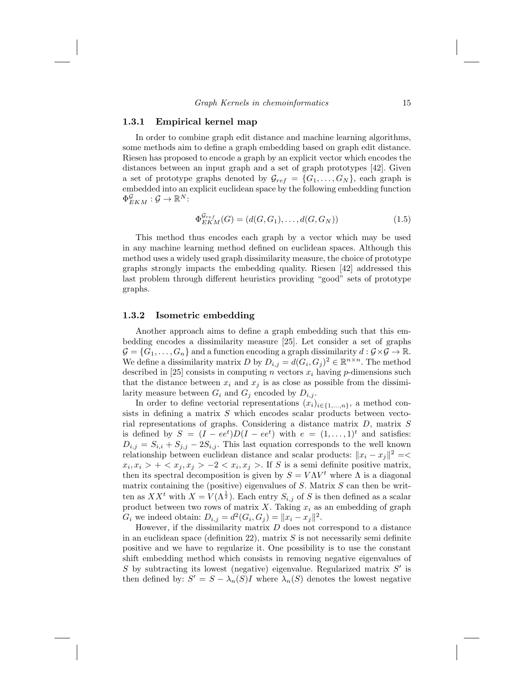#### Graph Kernels in chemoinformatics 15

#### 1.3.1 Empirical kernel map

In order to combine graph edit distance and machine learning algorithms, some methods aim to define a graph embedding based on graph edit distance. Riesen has proposed to encode a graph by an explicit vector which encodes the distances between an input graph and a set of graph prototypes [42]. Given a set of prototype graphs denoted by  $\mathcal{G}_{ref} = \{G_1, \ldots, G_N\}$ , each graph is embedded into an explicit euclidean space by the following embedding function  $\Phi_{EKM}^\mathcal{G}:\mathcal{G}\to\mathbb{R}^N$ :

$$
\Phi_{EKM}^{G_{ref}}(G) = (d(G, G_1), \dots, d(G, G_N))
$$
\n
$$
(1.5)
$$

This method thus encodes each graph by a vector which may be used in any machine learning method defined on euclidean spaces. Although this method uses a widely used graph dissimilarity measure, the choice of prototype graphs strongly impacts the embedding quality. Riesen [42] addressed this last problem through different heuristics providing "good" sets of prototype graphs.

#### 1.3.2 Isometric embedding

Another approach aims to define a graph embedding such that this embedding encodes a dissimilarity measure [25]. Let consider a set of graphs  $\mathcal{G} = \{G_1, \ldots, G_n\}$  and a function encoding a graph dissimilarity  $d : \mathcal{G} \times \mathcal{G} \to \mathbb{R}$ . We define a dissimilarity matrix D by  $D_{i,j} = d(G_i, G_j)^2 \in \mathbb{R}^{n \times n}$ . The method described in [25] consists in computing n vectors  $x_i$  having p-dimensions such that the distance between  $x_i$  and  $x_j$  is as close as possible from the dissimilarity measure between  $G_i$  and  $G_j$  encoded by  $D_{i,j}$ .

In order to define vectorial representations  $(x_i)_{i\in\{1,\ldots,n\}}$ , a method consists in defining a matrix  $S$  which encodes scalar products between vectorial representations of graphs. Considering a distance matrix D, matrix S is defined by  $S = (I - ee^t)D(I - ee^t)$  with  $e = (1, \ldots, 1)^t$  and satisfies:  $D_{i,j} = S_{i,i} + S_{j,j} - 2S_{i,j}$ . This last equation corresponds to the well known relationship between euclidean distance and scalar products:  $||x_i - x_j||^2 = \langle$  $x_i, x_i > + \langle x_j, x_j \rangle -2 \langle x_i, x_j \rangle$ . If S is a semi-definite positive matrix, then its spectral decomposition is given by  $S = V \Lambda V^t$  where  $\Lambda$  is a diagonal matrix containing the (positive) eigenvalues of  $S$ . Matrix  $S$  can then be written as  $XX<sup>t</sup>$  with  $X = V(\Lambda^{\frac{1}{2}})$ . Each entry  $S_{i,j}$  of S is then defined as a scalar product between two rows of matrix  $X$ . Taking  $x_i$  as an embedding of graph  $G_i$  we indeed obtain:  $D_{i,j} = d^2(G_i, G_j) = ||x_i - x_j||^2$ .

However, if the dissimilarity matrix  $D$  does not correspond to a distance in an euclidean space (definition 22), matrix  $S$  is not necessarily semi-definite positive and we have to regularize it. One possibility is to use the constant shift embedding method which consists in removing negative eigenvalues of S by subtracting its lowest (negative) eigenvalue. Regularized matrix  $S'$  is then defined by:  $S' = S - \lambda_n(S)I$  where  $\lambda_n(S)$  denotes the lowest negative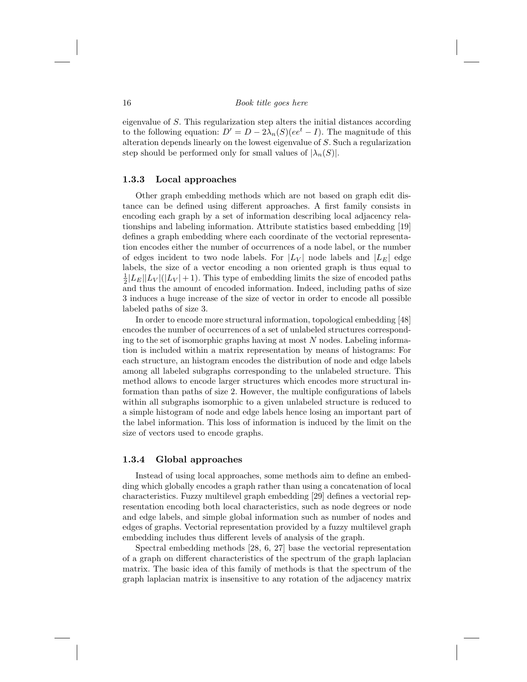eigenvalue of S. This regularization step alters the initial distances according to the following equation:  $D' = D - 2\lambda_n(S)(ee^t - I)$ . The magnitude of this alteration depends linearly on the lowest eigenvalue of S. Such a regularization step should be performed only for small values of  $|\lambda_n(S)|$ .

#### 1.3.3 Local approaches

Other graph embedding methods which are not based on graph edit distance can be defined using different approaches. A first family consists in encoding each graph by a set of information describing local adjacency relationships and labeling information. Attribute statistics based embedding [19] defines a graph embedding where each coordinate of the vectorial representation encodes either the number of occurrences of a node label, or the number of edges incident to two node labels. For  $|L_V|$  node labels and  $|L_E|$  edge labels, the size of a vector encoding a non oriented graph is thus equal to  $\frac{1}{2}|L_E||L_V||(|L_V|+1)$ . This type of embedding limits the size of encoded paths and thus the amount of encoded information. Indeed, including paths of size 3 induces a huge increase of the size of vector in order to encode all possible labeled paths of size 3.

In order to encode more structural information, topological embedding [48] encodes the number of occurrences of a set of unlabeled structures corresponding to the set of isomorphic graphs having at most  $N$  nodes. Labeling information is included within a matrix representation by means of histograms: For each structure, an histogram encodes the distribution of node and edge labels among all labeled subgraphs corresponding to the unlabeled structure. This method allows to encode larger structures which encodes more structural information than paths of size 2. However, the multiple configurations of labels within all subgraphs isomorphic to a given unlabeled structure is reduced to a simple histogram of node and edge labels hence losing an important part of the label information. This loss of information is induced by the limit on the size of vectors used to encode graphs.

#### 1.3.4 Global approaches

Instead of using local approaches, some methods aim to define an embedding which globally encodes a graph rather than using a concatenation of local characteristics. Fuzzy multilevel graph embedding [29] defines a vectorial representation encoding both local characteristics, such as node degrees or node and edge labels, and simple global information such as number of nodes and edges of graphs. Vectorial representation provided by a fuzzy multilevel graph embedding includes thus different levels of analysis of the graph.

Spectral embedding methods [28, 6, 27] base the vectorial representation of a graph on different characteristics of the spectrum of the graph laplacian matrix. The basic idea of this family of methods is that the spectrum of the graph laplacian matrix is insensitive to any rotation of the adjacency matrix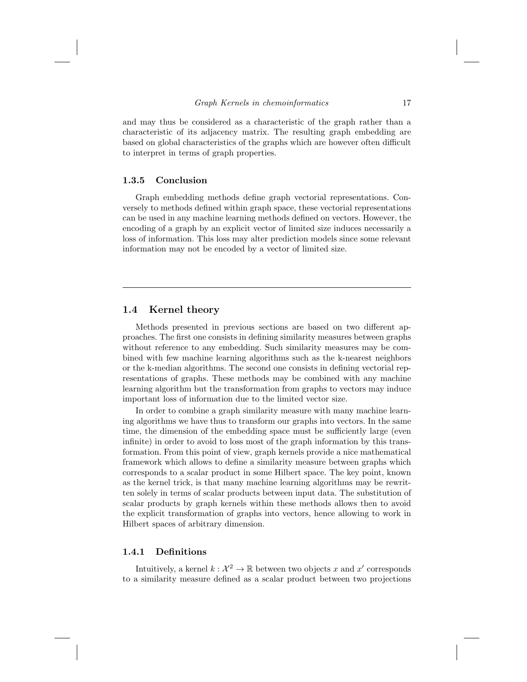and may thus be considered as a characteristic of the graph rather than a characteristic of its adjacency matrix. The resulting graph embedding are based on global characteristics of the graphs which are however often difficult to interpret in terms of graph properties.

#### 1.3.5 Conclusion

Graph embedding methods define graph vectorial representations. Conversely to methods defined within graph space, these vectorial representations can be used in any machine learning methods defined on vectors. However, the encoding of a graph by an explicit vector of limited size induces necessarily a loss of information. This loss may alter prediction models since some relevant information may not be encoded by a vector of limited size.

#### 1.4 Kernel theory

Methods presented in previous sections are based on two different approaches. The first one consists in defining similarity measures between graphs without reference to any embedding. Such similarity measures may be combined with few machine learning algorithms such as the k-nearest neighbors or the k-median algorithms. The second one consists in defining vectorial representations of graphs. These methods may be combined with any machine learning algorithm but the transformation from graphs to vectors may induce important loss of information due to the limited vector size.

In order to combine a graph similarity measure with many machine learning algorithms we have thus to transform our graphs into vectors. In the same time, the dimension of the embedding space must be sufficiently large (even infinite) in order to avoid to loss most of the graph information by this transformation. From this point of view, graph kernels provide a nice mathematical framework which allows to define a similarity measure between graphs which corresponds to a scalar product in some Hilbert space. The key point, known as the kernel trick, is that many machine learning algorithms may be rewritten solely in terms of scalar products between input data. The substitution of scalar products by graph kernels within these methods allows then to avoid the explicit transformation of graphs into vectors, hence allowing to work in Hilbert spaces of arbitrary dimension.

#### 1.4.1 Definitions

Intuitively, a kernel  $k : \mathcal{X}^2 \to \mathbb{R}$  between two objects x and x' corresponds to a similarity measure defined as a scalar product between two projections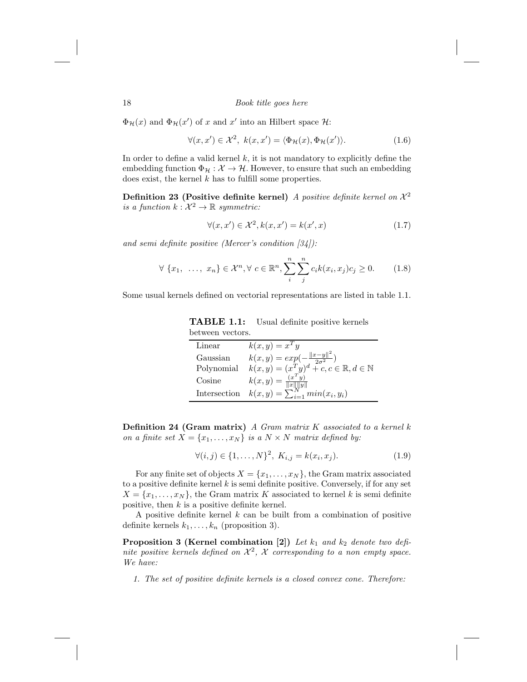$\Phi_{\mathcal{H}}(x)$  and  $\Phi_{\mathcal{H}}(x')$  of x and x' into an Hilbert space  $\mathcal{H}$ :

$$
\forall (x, x') \in \mathcal{X}^2, \ k(x, x') = \langle \Phi_{\mathcal{H}}(x), \Phi_{\mathcal{H}}(x') \rangle. \tag{1.6}
$$

In order to define a valid kernel  $k$ , it is not mandatory to explicitly define the embedding function  $\Phi_{\mathcal{H}} : \mathcal{X} \to \mathcal{H}$ . However, to ensure that such an embedding does exist, the kernel  $k$  has to fulfill some properties.

Definition 23 (Positive definite kernel) A positive definite kernel on  $\mathcal{X}^2$ is a function  $k: \mathcal{X}^2 \to \mathbb{R}$  symmetric:

$$
\forall (x, x') \in \mathcal{X}^2, k(x, x') = k(x', x)
$$
\n(1.7)

and semi definite positive (Mercer's condition [34]):

$$
\forall \{x_1, \ldots, x_n\} \in \mathcal{X}^n, \forall \ c \in \mathbb{R}^n, \sum_{i}^{n} \sum_{j}^{n} c_i k(x_i, x_j) c_j \ge 0. \tag{1.8}
$$

Some usual kernels defined on vectorial representations are listed in table 1.1.

TABLE 1.1: Usual definite positive kernels between vectors.

| Linear       | $k(x, y) = x^T y$                                   |
|--------------|-----------------------------------------------------|
| Gaussian     | $k(x,y) = exp(-\frac{  x-y  ^2}{2\sigma^2})$        |
| Polynomial   | $k(x,y)=(x^Ty)^d+c, c\in\mathbb{R}, d\in\mathbb{N}$ |
| Cosine       | $k(x, y) = \frac{(x^T y)}{\ x\  \ y\ }$             |
| Intersection | $k(x, y) = \sum_{i=1}^{N} min(x_i, y_i)$            |

**Definition 24 (Gram matrix)** A Gram matrix  $K$  associated to a kernel  $k$ on a finite set  $X = \{x_1, \ldots, x_N\}$  is a  $N \times N$  matrix defined by:

$$
\forall (i,j) \in \{1, \dots, N\}^2, \ K_{i,j} = k(x_i, x_j). \tag{1.9}
$$

For any finite set of objects  $X = \{x_1, \ldots, x_N\}$ , the Gram matrix associated to a positive definite kernel  $k$  is semi definite positive. Conversely, if for any set  $X = \{x_1, \ldots, x_N\}$ , the Gram matrix K associated to kernel k is semi-definite positive, then  $k$  is a positive definite kernel.

A positive definite kernel  $k$  can be built from a combination of positive definite kernels  $k_1, \ldots, k_n$  (proposition 3).

**Proposition 3 (Kernel combination [2])** Let  $k_1$  and  $k_2$  denote two definite positive kernels defined on  $\mathcal{X}^2$ ,  $\mathcal X$  corresponding to a non empty space. We have:

1. The set of positive definite kernels is a closed convex cone. Therefore: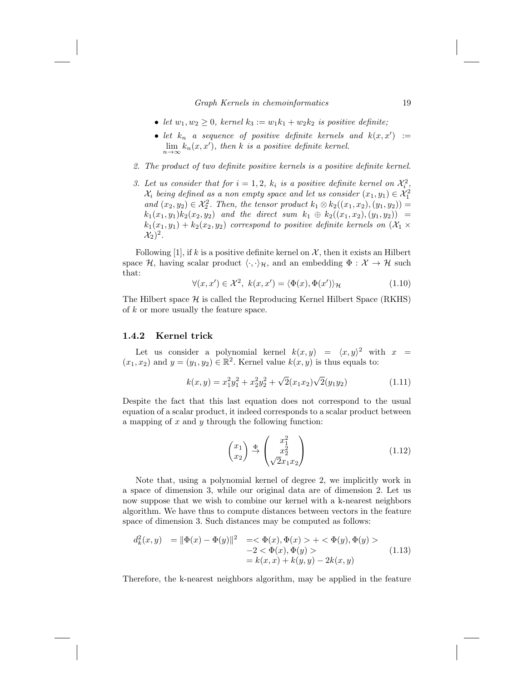- let  $w_1, w_2 \geq 0$ , kernel  $k_3 := w_1k_1 + w_2k_2$  is positive definite;
- let  $k_n$  a sequence of positive definite kernels and  $k(x, x') :=$  $\lim_{n\to\infty} k_n(x,x')$ , then k is a positive definite kernel.
- 2. The product of two definite positive kernels is a positive definite kernel.
- 3. Let us consider that for  $i = 1, 2, k_i$  is a positive definite kernel on  $\mathcal{X}_{i,j}^2$  $\mathcal{X}_i$  being defined as a non empty space and let us consider  $(x_1, y_1) \in \mathcal{X}_1^2$ and  $(x_2, y_2) \in \mathcal{X}_2^2$ . Then, the tensor product  $k_1 \otimes k_2((x_1, x_2), (y_1, y_2)) =$  $k_1(x_1, y_1)k_2(x_2, y_2)$  and the direct sum  $k_1 \oplus k_2((x_1, x_2), (y_1, y_2)) =$  $k_1(x_1, y_1) + k_2(x_2, y_2)$  correspond to positive definite kernels on  $(X_1 \times$  $(\mathcal{X}_2)^2$  .

Following [1], if k is a positive definite kernel on  $\mathcal{X}$ , then it exists an Hilbert space H, having scalar product  $\langle \cdot, \cdot \rangle_{\mathcal{H}}$ , and an embedding  $\Phi : \mathcal{X} \to \mathcal{H}$  such that:

$$
\forall (x, x') \in \mathcal{X}^2, \ k(x, x') = \langle \Phi(x), \Phi(x') \rangle_{\mathcal{H}} \tag{1.10}
$$

The Hilbert space  $H$  is called the Reproducing Kernel Hilbert Space (RKHS) of k or more usually the feature space.

#### 1.4.2 Kernel trick

Let us consider a polynomial kernel  $k(x, y) = \langle x, y \rangle^2$  with  $x =$  $(x_1, x_2)$  and  $y = (y_1, y_2) \in \mathbb{R}^2$ . Kernel value  $k(x, y)$  is thus equals to:

$$
k(x,y) = x_1^2 y_1^2 + x_2^2 y_2^2 + \sqrt{2}(x_1 x_2) \sqrt{2}(y_1 y_2)
$$
 (1.11)

Despite the fact that this last equation does not correspond to the usual equation of a scalar product, it indeed corresponds to a scalar product between a mapping of  $x$  and  $y$  through the following function:

$$
\begin{pmatrix} x_1 \\ x_2 \end{pmatrix} \stackrel{\Phi}{\rightarrow} \begin{pmatrix} x_1^2 \\ x_2^2 \\ \sqrt{2}x_1 x_2 \end{pmatrix} \tag{1.12}
$$

Note that, using a polynomial kernel of degree 2, we implicitly work in a space of dimension 3, while our original data are of dimension 2. Let us now suppose that we wish to combine our kernel with a k-nearest neighbors algorithm. We have thus to compute distances between vectors in the feature space of dimension 3. Such distances may be computed as follows:

$$
d_k^2(x, y) = ||\Phi(x) - \Phi(y)||^2 \quad \text{and} \quad \Phi(x) > + < \Phi(y), \Phi(y) > \\
-2 < \Phi(x), \Phi(y) > \\
= k(x, x) + k(y, y) - 2k(x, y) \tag{1.13}
$$

Therefore, the k-nearest neighbors algorithm, may be applied in the feature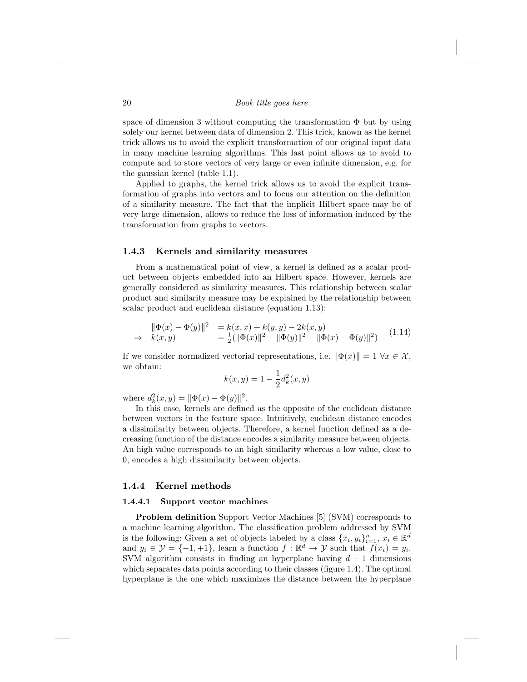space of dimension 3 without computing the transformation  $\Phi$  but by using solely our kernel between data of dimension 2. This trick, known as the kernel trick allows us to avoid the explicit transformation of our original input data in many machine learning algorithms. This last point allows us to avoid to compute and to store vectors of very large or even infinite dimension, e.g. for the gaussian kernel (table 1.1).

Applied to graphs, the kernel trick allows us to avoid the explicit transformation of graphs into vectors and to focus our attention on the definition of a similarity measure. The fact that the implicit Hilbert space may be of very large dimension, allows to reduce the loss of information induced by the transformation from graphs to vectors.

#### 1.4.3 Kernels and similarity measures

From a mathematical point of view, a kernel is defined as a scalar product between objects embedded into an Hilbert space. However, kernels are generally considered as similarity measures. This relationship between scalar product and similarity measure may be explained by the relationship between scalar product and euclidean distance (equation 1.13):

$$
\|\Phi(x) - \Phi(y)\|^2 = k(x, x) + k(y, y) - 2k(x, y)
$$
  
\n
$$
\Rightarrow k(x, y) = \frac{1}{2}(\|\Phi(x)\|^2 + \|\Phi(y)\|^2 - \|\Phi(x) - \Phi(y)\|^2)
$$
 (1.14)

If we consider normalized vectorial representations, i.e.  $\|\Phi(x)\| = 1 \,\forall x \in \mathcal{X},$ we obtain:

$$
k(x, y) = 1 - \frac{1}{2}d_k^2(x, y)
$$

where  $d_k^2(x, y) = ||\Phi(x) - \Phi(y)||^2$ .

In this case, kernels are defined as the opposite of the euclidean distance between vectors in the feature space. Intuitively, euclidean distance encodes a dissimilarity between objects. Therefore, a kernel function defined as a decreasing function of the distance encodes a similarity measure between objects. An high value corresponds to an high similarity whereas a low value, close to 0, encodes a high dissimilarity between objects.

#### 1.4.4 Kernel methods

#### 1.4.4.1 Support vector machines

Problem definition Support Vector Machines [5] (SVM) corresponds to a machine learning algorithm. The classification problem addressed by SVM is the following: Given a set of objects labeled by a class  $\{x_i, y_i\}_{i=1}^n$ ,  $x_i \in \mathbb{R}^d$ and  $y_i \in \mathcal{Y} = \{-1, +1\}$ , learn a function  $f : \mathbb{R}^d \to \mathcal{Y}$  such that  $f(x_i) = y_i$ . SVM algorithm consists in finding an hyperplane having  $d-1$  dimensions which separates data points according to their classes (figure 1.4). The optimal hyperplane is the one which maximizes the distance between the hyperplane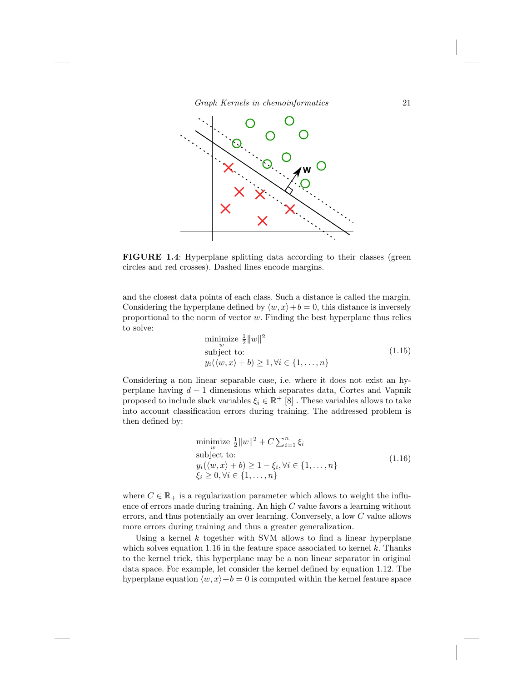Graph Kernels in chemoinformatics 21



FIGURE 1.4: Hyperplane splitting data according to their classes (green circles and red crosses). Dashed lines encode margins.

and the closest data points of each class. Such a distance is called the margin. Considering the hyperplane defined by  $\langle w, x \rangle + b = 0$ , this distance is inversely proportional to the norm of vector  $w$ . Finding the best hyperplane thus relies to solve:

$$
\begin{array}{ll}\n\text{minimize } \frac{1}{2} ||w||^2\\ \n\text{subject to:} \\ \ny_i(\langle w, x \rangle + b) \ge 1, \forall i \in \{1, \dots, n\} \n\end{array} \tag{1.15}
$$

Considering a non linear separable case, i.e. where it does not exist an hyperplane having  $d-1$  dimensions which separates data, Cortes and Vapnik proposed to include slack variables  $\xi_i \in \mathbb{R}^+$  [8]. These variables allows to take into account classification errors during training. The addressed problem is then defined by:

$$
\begin{array}{ll}\n\text{minimize } \frac{1}{2} ||w||^2 + C \sum_{i=1}^n \xi_i \\
\text{subject to:} \\
y_i(\langle w, x \rangle + b) \ge 1 - \xi_i, \forall i \in \{1, \dots, n\} \\
\xi_i \ge 0, \forall i \in \{1, \dots, n\}\n\end{array} \tag{1.16}
$$

where  $C \in \mathbb{R}_+$  is a regularization parameter which allows to weight the influence of errors made during training. An high  $C$  value favors a learning without errors, and thus potentially an over learning. Conversely, a low C value allows more errors during training and thus a greater generalization.

Using a kernel  $k$  together with SVM allows to find a linear hyperplane which solves equation 1.16 in the feature space associated to kernel  $k$ . Thanks to the kernel trick, this hyperplane may be a non linear separator in original data space. For example, let consider the kernel defined by equation 1.12. The hyperplane equation  $\langle w, x \rangle + b = 0$  is computed within the kernel feature space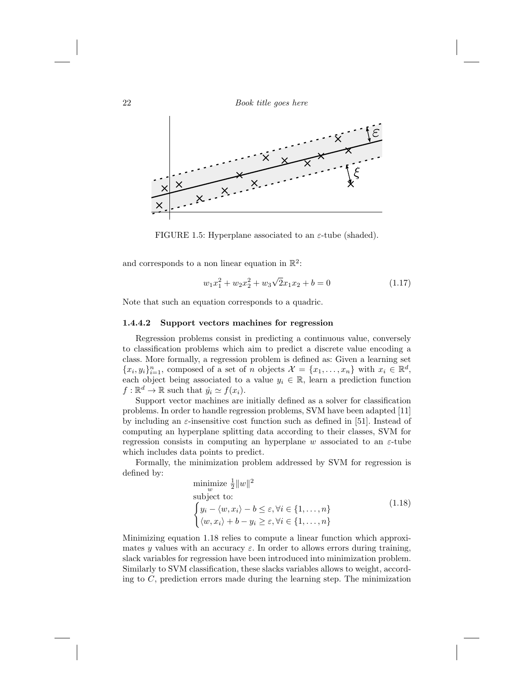

FIGURE 1.5: Hyperplane associated to an  $\varepsilon$ -tube (shaded).

and corresponds to a non linear equation in  $\mathbb{R}^2$ :

$$
w_1x_1^2 + w_2x_2^2 + w_3\sqrt{2}x_1x_2 + b = 0
$$
\n(1.17)

Note that such an equation corresponds to a quadric.

#### 1.4.4.2 Support vectors machines for regression

Regression problems consist in predicting a continuous value, conversely to classification problems which aim to predict a discrete value encoding a class. More formally, a regression problem is defined as: Given a learning set  ${x_i, y_i}_{i=1}^n$ , composed of a set of n objects  $\mathcal{X} = {x_1, \ldots, x_n}$  with  $x_i \in \mathbb{R}^d$ , each object being associated to a value  $y_i \in \mathbb{R}$ , learn a prediction function  $f: \mathbb{R}^d \to \mathbb{R}$  such that  $\hat{y}_i \simeq f(x_i)$ .

Support vector machines are initially defined as a solver for classification problems. In order to handle regression problems, SVM have been adapted [11] by including an  $\varepsilon$ -insensitive cost function such as defined in [51]. Instead of computing an hyperplane splitting data according to their classes, SVM for regression consists in computing an hyperplane w associated to an  $\varepsilon$ -tube which includes data points to predict.

Formally, the minimization problem addressed by SVM for regression is defined by:

minimize 
$$
\frac{1}{2} ||w||^2
$$
  
\nsubject to:  
\n
$$
\begin{cases}\ny_i - \langle w, x_i \rangle - b \le \varepsilon, \forall i \in \{1, ..., n\} \\
\langle w, x_i \rangle + b - y_i \ge \varepsilon, \forall i \in \{1, ..., n\}\n\end{cases}
$$
\n(1.18)

Minimizing equation 1.18 relies to compute a linear function which approximates y values with an accuracy  $\varepsilon$ . In order to allows errors during training, slack variables for regression have been introduced into minimization problem. Similarly to SVM classification, these slacks variables allows to weight, according to  $C$ , prediction errors made during the learning step. The minimization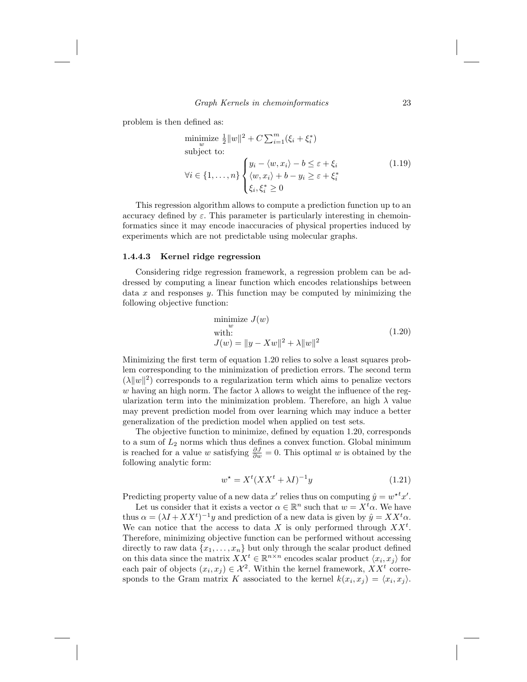problem is then defined as:

minimize 
$$
\frac{1}{2} ||w||^2 + C \sum_{i=1}^m (\xi_i + \xi_i^*)
$$
  
\nsubject to:  
\n
$$
\forall i \in \{1, ..., n\} \begin{cases} y_i - \langle w, x_i \rangle - b \le \varepsilon + \xi_i \\ \langle w, x_i \rangle + b - y_i \ge \varepsilon + \xi_i^* \\ \xi_i, \xi_i^* \ge 0 \end{cases}
$$
\n(1.19)

This regression algorithm allows to compute a prediction function up to an accuracy defined by  $\varepsilon$ . This parameter is particularly interesting in chemoinformatics since it may encode inaccuracies of physical properties induced by experiments which are not predictable using molecular graphs.

#### 1.4.4.3 Kernel ridge regression

Considering ridge regression framework, a regression problem can be addressed by computing a linear function which encodes relationships between data  $x$  and responses  $y$ . This function may be computed by minimizing the following objective function:

$$
\begin{array}{ll}\n\text{minimize} & J(w) \\
\text{with:} \\
J(w) = \|y - Xw\|^2 + \lambda \|w\|^2\n\end{array} \tag{1.20}
$$

Minimizing the first term of equation 1.20 relies to solve a least squares problem corresponding to the minimization of prediction errors. The second term  $(\lambda \|w\|^2)$  corresponds to a regularization term which aims to penalize vectors w having an high norm. The factor  $\lambda$  allows to weight the influence of the regularization term into the minimization problem. Therefore, an high  $\lambda$  value may prevent prediction model from over learning which may induce a better generalization of the prediction model when applied on test sets.

The objective function to minimize, defined by equation 1.20, corresponds to a sum of  $L_2$  norms which thus defines a convex function. Global minimum is reached for a value w satisfying  $\frac{\partial J}{\partial w} = 0$ . This optimal w is obtained by the following analytic form:

$$
w^* = X^t (XX^t + \lambda I)^{-1} y \tag{1.21}
$$

Predicting property value of a new data x' relies thus on computing  $\hat{y} = w^{\star t} x'$ .

Let us consider that it exists a vector  $\alpha \in \mathbb{R}^n$  such that  $w = X^t \alpha$ . We have thus  $\alpha = (\lambda I + XX^t)^{-1}y$  and prediction of a new data is given by  $\hat{y} = XX^t\alpha$ . We can notice that the access to data X is only performed through  $XX<sup>t</sup>$ . Therefore, minimizing objective function can be performed without accessing directly to raw data  $\{x_1, \ldots, x_n\}$  but only through the scalar product defined on this data since the matrix  $X X^t \in \mathbb{R}^{n \times n}$  encodes scalar product  $\langle x_i, x_j \rangle$  for each pair of objects  $(x_i, x_j) \in \mathcal{X}^2$ . Within the kernel framework,  $XX<sup>t</sup>$  corresponds to the Gram matrix K associated to the kernel  $k(x_i, x_j) = \langle x_i, x_j \rangle$ .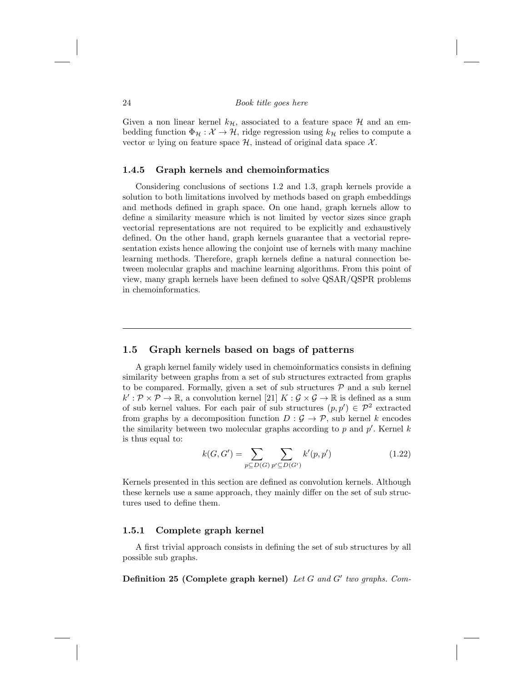Given a non linear kernel  $k_{\mathcal{H}}$ , associated to a feature space  $\mathcal{H}$  and an embedding function  $\Phi_{\mathcal{H}} : \mathcal{X} \to \mathcal{H}$ , ridge regression using  $k_{\mathcal{H}}$  relies to compute a vector w lying on feature space  $\mathcal{H}$ , instead of original data space  $\mathcal{X}$ .

#### 1.4.5 Graph kernels and chemoinformatics

Considering conclusions of sections 1.2 and 1.3, graph kernels provide a solution to both limitations involved by methods based on graph embeddings and methods defined in graph space. On one hand, graph kernels allow to define a similarity measure which is not limited by vector sizes since graph vectorial representations are not required to be explicitly and exhaustively defined. On the other hand, graph kernels guarantee that a vectorial representation exists hence allowing the conjoint use of kernels with many machine learning methods. Therefore, graph kernels define a natural connection between molecular graphs and machine learning algorithms. From this point of view, many graph kernels have been defined to solve QSAR/QSPR problems in chemoinformatics.

#### 1.5 Graph kernels based on bags of patterns

A graph kernel family widely used in chemoinformatics consists in defining similarity between graphs from a set of sub structures extracted from graphs to be compared. Formally, given a set of sub structures  $P$  and a sub kernel  $k': \mathcal{P} \times \mathcal{P} \to \mathbb{R}$ , a convolution kernel [21]  $K: \mathcal{G} \times \mathcal{G} \to \mathbb{R}$  is defined as a sum of sub kernel values. For each pair of sub structures  $(p, p') \in \mathcal{P}^2$  extracted from graphs by a decomposition function  $D: \mathcal{G} \to \mathcal{P}$ , sub kernel k encodes the similarity between two molecular graphs according to  $p$  and  $p'$ . Kernel  $k$ is thus equal to:

$$
k(G, G') = \sum_{p \subseteq D(G)} \sum_{p' \subseteq D(G')} k'(p, p') \tag{1.22}
$$

Kernels presented in this section are defined as convolution kernels. Although these kernels use a same approach, they mainly differ on the set of sub structures used to define them.

#### 1.5.1 Complete graph kernel

A first trivial approach consists in defining the set of sub structures by all possible sub graphs.

Definition 25 (Complete graph kernel) Let G and G' two graphs. Com-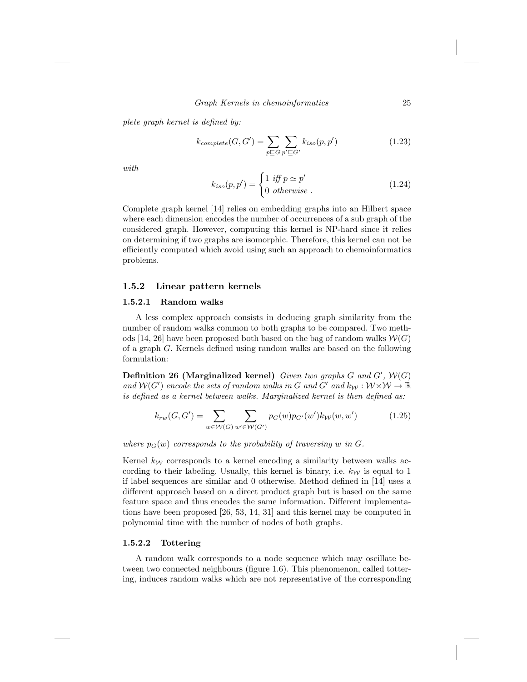plete graph kernel is defined by:

$$
k_{complete}(G, G') = \sum_{p \sqsubseteq G} \sum_{p' \sqsubseteq G'} k_{iso}(p, p') \tag{1.23}
$$

with

$$
k_{iso}(p, p') = \begin{cases} 1 & \text{iff } p \simeq p' \\ 0 & \text{otherwise} \end{cases}
$$
 (1.24)

Complete graph kernel [14] relies on embedding graphs into an Hilbert space where each dimension encodes the number of occurrences of a sub graph of the considered graph. However, computing this kernel is NP-hard since it relies on determining if two graphs are isomorphic. Therefore, this kernel can not be efficiently computed which avoid using such an approach to chemoinformatics problems.

#### 1.5.2 Linear pattern kernels

#### 1.5.2.1 Random walks

A less complex approach consists in deducing graph similarity from the number of random walks common to both graphs to be compared. Two methods [14, 26] have been proposed both based on the bag of random walks  $W(G)$ of a graph G. Kernels defined using random walks are based on the following formulation:

Definition 26 (Marginalized kernel) Given two graphs  $G$  and  $G'$ ,  $W(G)$ and  $W(G')$  encode the sets of random walks in G and G' and  $k_W : W \times W \to \mathbb{R}$ is defined as a kernel between walks. Marginalized kernel is then defined as:

$$
k_{rw}(G, G') = \sum_{w \in W(G)} \sum_{w' \in W(G')} p_G(w) p_{G'}(w') k_{\mathcal{W}}(w, w') \tag{1.25}
$$

where  $p_G(w)$  corresponds to the probability of traversing w in G.

Kernel  $k_W$  corresponds to a kernel encoding a similarity between walks according to their labeling. Usually, this kernel is binary, i.e.  $k_{\mathcal{W}}$  is equal to 1 if label sequences are similar and 0 otherwise. Method defined in [14] uses a different approach based on a direct product graph but is based on the same feature space and thus encodes the same information. Different implementations have been proposed [26, 53, 14, 31] and this kernel may be computed in polynomial time with the number of nodes of both graphs.

#### 1.5.2.2 Tottering

A random walk corresponds to a node sequence which may oscillate between two connected neighbours (figure 1.6). This phenomenon, called tottering, induces random walks which are not representative of the corresponding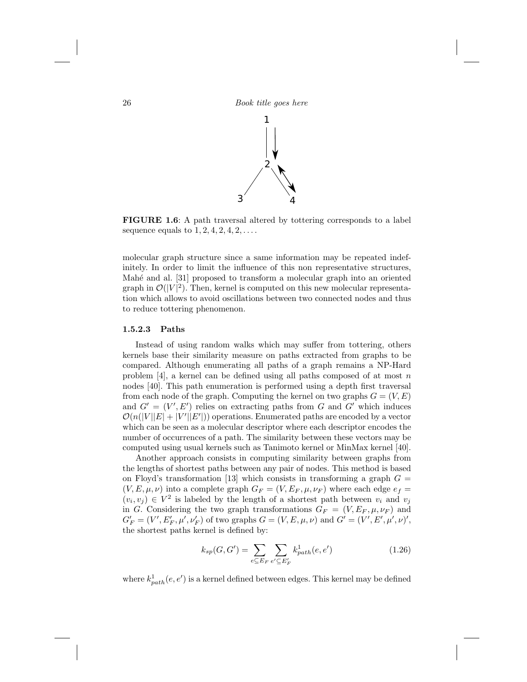26 Book title goes here 1 2  $3^{4}$ 

FIGURE 1.6: A path traversal altered by tottering corresponds to a label sequence equals to  $1, 2, 4, 2, 4, 2, \ldots$ 

molecular graph structure since a same information may be repeated indefinitely. In order to limit the influence of this non representative structures, Mahé and al. [31] proposed to transform a molecular graph into an oriented graph in  $\mathcal{O}(|V|^2)$ . Then, kernel is computed on this new molecular representation which allows to avoid oscillations between two connected nodes and thus to reduce tottering phenomenon.

#### 1.5.2.3 Paths

Instead of using random walks which may suffer from tottering, others kernels base their similarity measure on paths extracted from graphs to be compared. Although enumerating all paths of a graph remains a NP-Hard problem  $[4]$ , a kernel can be defined using all paths composed of at most n nodes [40]. This path enumeration is performed using a depth first traversal from each node of the graph. Computing the kernel on two graphs  $G = (V, E)$ and  $G' = (V', E')$  relies on extracting paths from G and G' which induces  $\mathcal{O}(n(|V||E| + |V'||E'|))$  operations. Enumerated paths are encoded by a vector which can be seen as a molecular descriptor where each descriptor encodes the number of occurrences of a path. The similarity between these vectors may be computed using usual kernels such as Tanimoto kernel or MinMax kernel [40].

Another approach consists in computing similarity between graphs from the lengths of shortest paths between any pair of nodes. This method is based on Floyd's transformation [13] which consists in transforming a graph  $G =$  $(V, E, \mu, \nu)$  into a complete graph  $G_F = (V, E_F, \mu, \nu_F)$  where each edge  $e_f =$  $(v_i, v_j) \in V^2$  is labeled by the length of a shortest path between  $v_i$  and  $v_j$ in G. Considering the two graph transformations  $G_F = (V, E_F, \mu, \nu_F)$  and  $G_F' = (V', E_F', \mu', \nu_F')$  of two graphs  $G = (V, E, \mu, \nu)$  and  $G' = (V', E', \mu', \nu)',$ the shortest paths kernel is defined by:

$$
k_{sp}(G, G') = \sum_{e \subseteq E_F} \sum_{e' \subseteq E'_F} k_{path}^1(e, e')
$$
 (1.26)

where  $k_{path}^1(e, e')$  is a kernel defined between edges. This kernel may be defined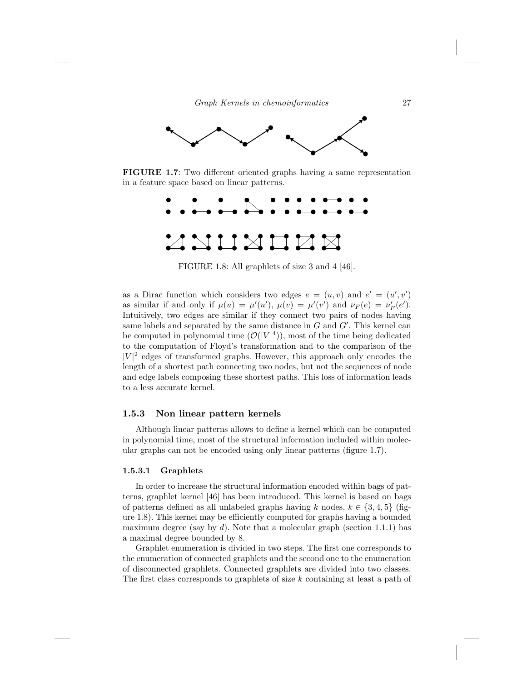Graph Kernels in chemoinformatics 27



FIGURE 1.7: Two different oriented graphs having a same representation in a feature space based on linear patterns.



FIGURE 1.8: All graphlets of size 3 and 4 [46].

as a Dirac function which considers two edges  $e = (u, v)$  and  $e' = (u', v')$ as similar if and only if  $\mu(u) = \mu'(u')$ ,  $\mu(v) = \mu'(v')$  and  $\nu_F(e) = \nu'_F(e')$ . Intuitively, two edges are similar if they connect two pairs of nodes having same labels and separated by the same distance in  $G$  and  $G'$ . This kernel can be computed in polynomial time  $(\mathcal{O}(|V|^4))$ , most of the time being dedicated to the computation of Floyd's transformation and to the comparison of the  $|V|^2$  edges of transformed graphs. However, this approach only encodes the length of a shortest path connecting two nodes, but not the sequences of node and edge labels composing these shortest paths. This loss of information leads to a less accurate kernel.

#### 1.5.3 Non linear pattern kernels

Although linear patterns allows to define a kernel which can be computed in polynomial time, most of the structural information included within molecular graphs can not be encoded using only linear patterns (figure 1.7).

#### 1.5.3.1 Graphlets

In order to increase the structural information encoded within bags of patterns, graphlet kernel [46] has been introduced. This kernel is based on bags of patterns defined as all unlabeled graphs having k nodes,  $k \in \{3, 4, 5\}$  (figure 1.8). This kernel may be efficiently computed for graphs having a bounded maximum degree (say by d). Note that a molecular graph (section 1.1.1) has a maximal degree bounded by 8.

Graphlet enumeration is divided in two steps. The first one corresponds to the enumeration of connected graphlets and the second one to the enumeration of disconnected graphlets. Connected graphlets are divided into two classes. The first class corresponds to graphlets of size k containing at least a path of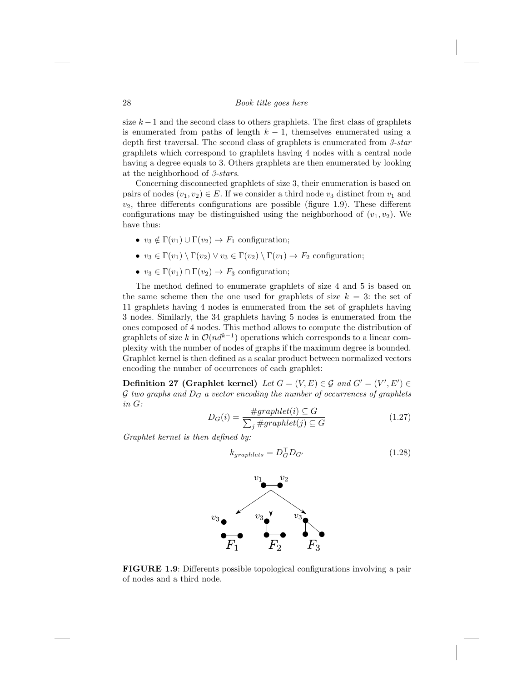size  $k-1$  and the second class to others graphlets. The first class of graphlets is enumerated from paths of length  $k - 1$ , themselves enumerated using a depth first traversal. The second class of graphlets is enumerated from 3-star graphlets which correspond to graphlets having 4 nodes with a central node having a degree equals to 3. Others graphlets are then enumerated by looking at the neighborhood of 3-stars.

Concerning disconnected graphlets of size 3, their enumeration is based on pairs of nodes  $(v_1, v_2) \in E$ . If we consider a third node  $v_3$  distinct from  $v_1$  and  $v_2$ , three differents configurations are possible (figure 1.9). These different configurations may be distinguished using the neighborhood of  $(v_1, v_2)$ . We have thus:

- $v_3 \notin \Gamma(v_1) \cup \Gamma(v_2) \rightarrow F_1$  configuration;
- $v_3 \in \Gamma(v_1) \setminus \Gamma(v_2) \vee v_3 \in \Gamma(v_2) \setminus \Gamma(v_1) \rightarrow F_2$  configuration;
- $v_3 \in \Gamma(v_1) \cap \Gamma(v_2) \rightarrow F_3$  configuration;

The method defined to enumerate graphlets of size 4 and 5 is based on the same scheme then the one used for graphlets of size  $k = 3$ : the set of 11 graphlets having 4 nodes is enumerated from the set of graphlets having 3 nodes. Similarly, the 34 graphlets having 5 nodes is enumerated from the ones composed of 4 nodes. This method allows to compute the distribution of graphlets of size k in  $\mathcal{O}(nd^{k-1})$  operations which corresponds to a linear complexity with the number of nodes of graphs if the maximum degree is bounded. Graphlet kernel is then defined as a scalar product between normalized vectors encoding the number of occurrences of each graphlet:

Definition 27 (Graphlet kernel) Let  $G = (V, E) \in \mathcal{G}$  and  $G' = (V', E') \in \mathcal{G}$  $\mathcal G$  two graphs and  $D_G$  a vector encoding the number of occurrences of graphlets in G:

$$
D_G(i) = \frac{\#graphlet(i) \subseteq G}{\sum_j \#graphlet(j) \subseteq G}
$$
\n(1.27)

Graphlet kernel is then defined by:

$$
k_{graphlets} = D_G^\top D_{G'} \tag{1.28}
$$



FIGURE 1.9: Differents possible topological configurations involving a pair of nodes and a third node.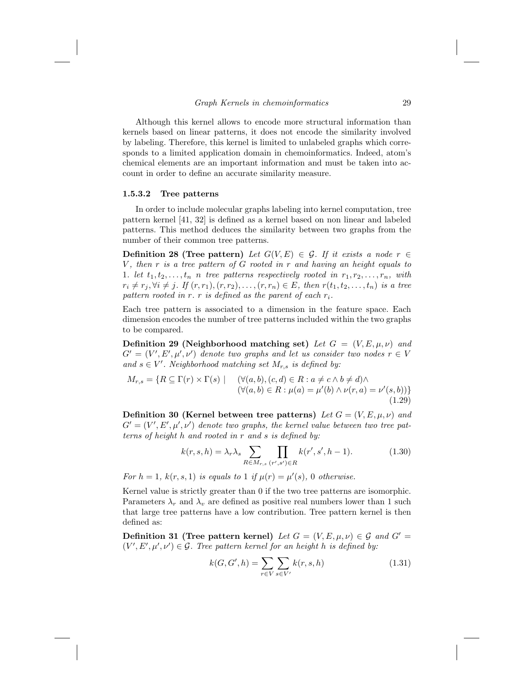Although this kernel allows to encode more structural information than kernels based on linear patterns, it does not encode the similarity involved by labeling. Therefore, this kernel is limited to unlabeled graphs which corresponds to a limited application domain in chemoinformatics. Indeed, atom's chemical elements are an important information and must be taken into account in order to define an accurate similarity measure.

#### 1.5.3.2 Tree patterns

In order to include molecular graphs labeling into kernel computation, tree pattern kernel [41, 32] is defined as a kernel based on non linear and labeled patterns. This method deduces the similarity between two graphs from the number of their common tree patterns.

**Definition 28 (Tree pattern)** Let  $G(V, E) \in \mathcal{G}$ . If it exists a node  $r \in$  $V$ , then  $r$  is a tree pattern of  $G$  rooted in  $r$  and having an height equals to 1. let  $t_1, t_2, \ldots, t_n$  n tree patterns respectively rooted in  $r_1, r_2, \ldots, r_n$ , with  $r_i \neq r_j, \forall i \neq j$ . If  $(r, r_1), (r, r_2), \ldots, (r, r_n) \in E$ , then  $r(t_1, t_2, \ldots, t_n)$  is a tree pattern rooted in  $r \cdot r$  is defined as the parent of each  $r_i$ .

Each tree pattern is associated to a dimension in the feature space. Each dimension encodes the number of tree patterns included within the two graphs to be compared.

Definition 29 (Neighborhood matching set) Let  $G = (V, E, \mu, \nu)$  and  $G' = (V', E', \mu', \nu')$  denote two graphs and let us consider two nodes  $r \in V$ and  $s \in V'$ . Neighborhood matching set  $M_{r,s}$  is defined by:

$$
M_{r,s} = \{ R \subseteq \Gamma(r) \times \Gamma(s) \mid \quad (\forall (a,b), (c,d) \in R : a \neq c \land b \neq d) \land (\forall (a,b) \in R : \mu(a) = \mu'(b) \land \nu(r,a) = \nu'(s,b)) \}
$$
(1.29)

Definition 30 (Kernel between tree patterns) Let  $G = (V, E, \mu, \nu)$  and  $G' = (V', E', \mu', \nu')$  denote two graphs, the kernel value between two tree patterns of height h and rooted in r and s is defined by:

$$
k(r, s, h) = \lambda_r \lambda_s \sum_{R \in M_{r, s}} \prod_{(r', s') \in R} k(r', s', h - 1).
$$
 (1.30)

For  $h = 1$ ,  $k(r, s, 1)$  is equals to 1 if  $\mu(r) = \mu'(s)$ , 0 otherwise.

Kernel value is strictly greater than 0 if the two tree patterns are isomorphic. Parameters  $\lambda_r$  and  $\lambda_v$  are defined as positive real numbers lower than 1 such that large tree patterns have a low contribution. Tree pattern kernel is then defined as:

Definition 31 (Tree pattern kernel) Let  $G = (V, E, \mu, \nu) \in \mathcal{G}$  and  $G' =$  $(V', E', \mu', \nu') \in \mathcal{G}$ . Tree pattern kernel for an height h is defined by:

$$
k(G, G', h) = \sum_{r \in V} \sum_{s \in V'} k(r, s, h)
$$
\n(1.31)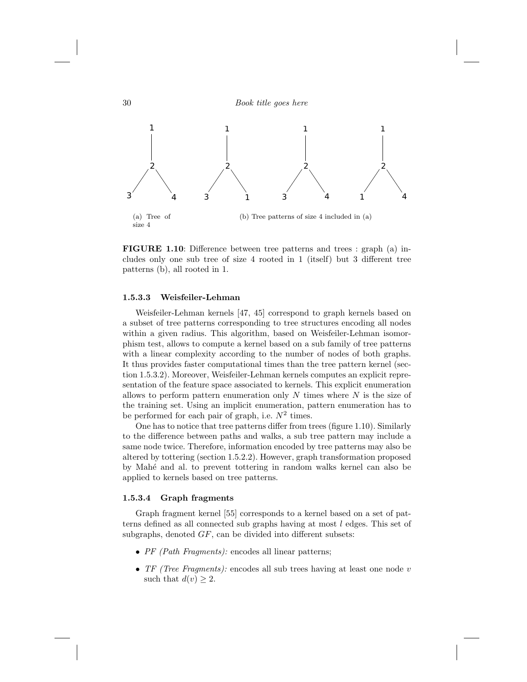

FIGURE 1.10: Difference between tree patterns and trees : graph (a) includes only one sub tree of size 4 rooted in 1 (itself) but 3 different tree patterns (b), all rooted in 1.

#### 1.5.3.3 Weisfeiler-Lehman

Weisfeiler-Lehman kernels [47, 45] correspond to graph kernels based on a subset of tree patterns corresponding to tree structures encoding all nodes within a given radius. This algorithm, based on Weisfeiler-Lehman isomorphism test, allows to compute a kernel based on a sub family of tree patterns with a linear complexity according to the number of nodes of both graphs. It thus provides faster computational times than the tree pattern kernel (section 1.5.3.2). Moreover, Weisfeiler-Lehman kernels computes an explicit representation of the feature space associated to kernels. This explicit enumeration allows to perform pattern enumeration only N times where  $N$  is the size of the training set. Using an implicit enumeration, pattern enumeration has to be performed for each pair of graph, i.e.  $N^2$  times.

One has to notice that tree patterns differ from trees (figure 1.10). Similarly to the difference between paths and walks, a sub tree pattern may include a same node twice. Therefore, information encoded by tree patterns may also be altered by tottering (section 1.5.2.2). However, graph transformation proposed by Mah´e and al. to prevent tottering in random walks kernel can also be applied to kernels based on tree patterns.

#### 1.5.3.4 Graph fragments

Graph fragment kernel [55] corresponds to a kernel based on a set of patterns defined as all connected sub graphs having at most l edges. This set of subgraphs, denoted  $GF$ , can be divided into different subsets:

- PF (Path Fragments): encodes all linear patterns;
- TF (Tree Fragments): encodes all sub trees having at least one node v such that  $d(v) \geq 2$ .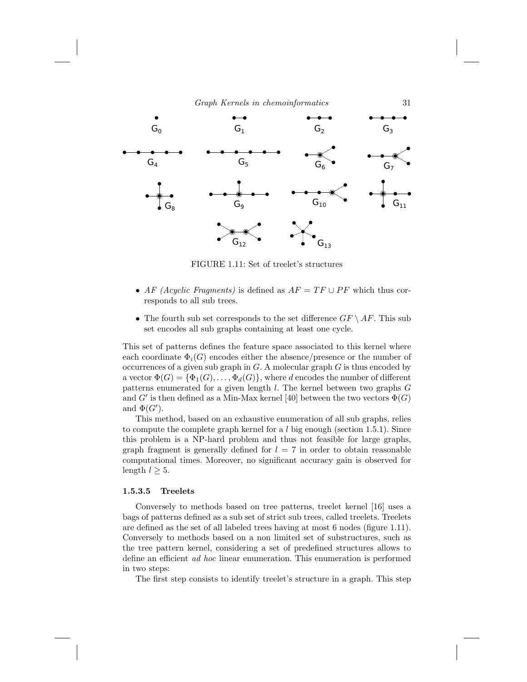

FIGURE 1.11: Set of treelet's structures

- AF (Acyclic Fragments) is defined as  $AF = TF \cup PF$  which thus corresponds to all sub trees.
- The fourth sub set corresponds to the set difference  $GF \setminus AF$ . This sub set encodes all sub graphs containing at least one cycle.

This set of patterns defines the feature space associated to this kernel where each coordinate  $\Phi_i(G)$  encodes either the absence/presence or the number of occurrences of a given sub graph in  $G$ . A molecular graph  $G$  is thus encoded by a vector  $\Phi(G) = {\Phi_1(G), \ldots, \Phi_d(G)}$ , where d encodes the number of different patterns enumerated for a given length  $l$ . The kernel between two graphs  $G$ and G' is then defined as a Min-Max kernel [40] between the two vectors  $\Phi(G)$ and  $\Phi(G')$ .

This method, based on an exhaustive enumeration of all sub graphs, relies to compute the complete graph kernel for a  $l$  big enough (section 1.5.1). Since this problem is a NP-hard problem and thus not feasible for large graphs, graph fragment is generally defined for  $l = 7$  in order to obtain reasonable computational times. Moreover, no significant accuracy gain is observed for length  $l \geq 5$ .

#### 1.5.3.5 Treelets

Conversely to methods based on tree patterns, treelet kernel [16] uses a bags of patterns defined as a sub set of strict sub trees, called treelets. Treelets are defined as the set of all labeled trees having at most 6 nodes (figure 1.11). Conversely to methods based on a non limited set of substructures, such as the tree pattern kernel, considering a set of predefined structures allows to define an efficient ad hoc linear enumeration. This enumeration is performed in two steps:

The first step consists to identify treelet's structure in a graph. This step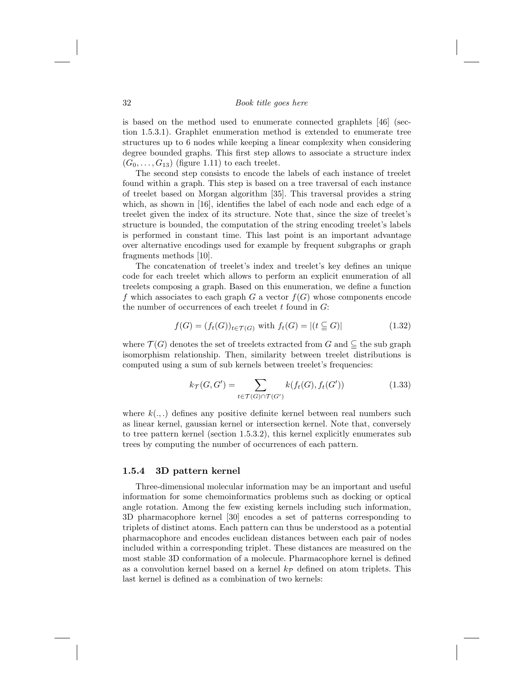is based on the method used to enumerate connected graphlets [46] (section 1.5.3.1). Graphlet enumeration method is extended to enumerate tree structures up to 6 nodes while keeping a linear complexity when considering degree bounded graphs. This first step allows to associate a structure index  $(G_0, \ldots, G_{13})$  (figure 1.11) to each treelet.

The second step consists to encode the labels of each instance of treelet found within a graph. This step is based on a tree traversal of each instance of treelet based on Morgan algorithm [35]. This traversal provides a string which, as shown in [16], identifies the label of each node and each edge of a treelet given the index of its structure. Note that, since the size of treelet's structure is bounded, the computation of the string encoding treelet's labels is performed in constant time. This last point is an important advantage over alternative encodings used for example by frequent subgraphs or graph fragments methods [10].

The concatenation of treelet's index and treelet's key defines an unique code for each treelet which allows to perform an explicit enumeration of all treelets composing a graph. Based on this enumeration, we define a function f which associates to each graph G a vector  $f(G)$  whose components encode the number of occurrences of each treelet  $t$  found in  $G$ :

$$
f(G) = (f_t(G))_{t \in \mathcal{T}(G)} \text{ with } f_t(G) = |(t \subseteq G)| \tag{1.32}
$$

where  $\mathcal{T}(G)$  denotes the set of treelets extracted from G and  $\subseteq$  the sub graph isomorphism relationship. Then, similarity between treelet distributions is computed using a sum of sub kernels between treelet's frequencies:

$$
k_{\mathcal{T}}(G, G') = \sum_{t \in \mathcal{T}(G) \cap \mathcal{T}(G')} k(f_t(G), f_t(G')) \tag{1.33}
$$

where  $k(.,.)$  defines any positive definite kernel between real numbers such as linear kernel, gaussian kernel or intersection kernel. Note that, conversely to tree pattern kernel (section 1.5.3.2), this kernel explicitly enumerates sub trees by computing the number of occurrences of each pattern.

#### 1.5.4 3D pattern kernel

Three-dimensional molecular information may be an important and useful information for some chemoinformatics problems such as docking or optical angle rotation. Among the few existing kernels including such information, 3D pharmacophore kernel [30] encodes a set of patterns corresponding to triplets of distinct atoms. Each pattern can thus be understood as a potential pharmacophore and encodes euclidean distances between each pair of nodes included within a corresponding triplet. These distances are measured on the most stable 3D conformation of a molecule. Pharmacophore kernel is defined as a convolution kernel based on a kernel  $k_{\mathcal{P}}$  defined on atom triplets. This last kernel is defined as a combination of two kernels: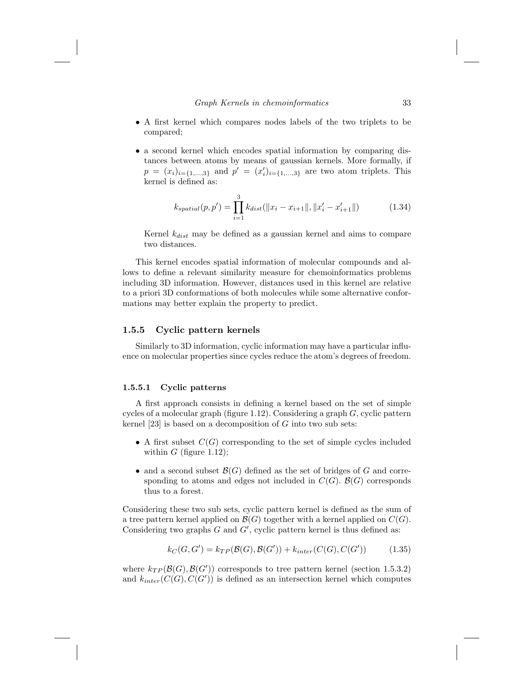- A first kernel which compares nodes labels of the two triplets to be compared;
- a second kernel which encodes spatial information by comparing distances between atoms by means of gaussian kernels. More formally, if  $p = (x_i)_{i=\{1,...,3\}}$  and  $p' = (x'_i)_{i=\{1,...,3\}}$  are two atom triplets. This kernel is defined as:

$$
k_{spatial}(p, p') = \prod_{i=1}^{3} k_{dist}(\|x_i - x_{i+1}\|, \|x'_i - x'_{i+1}\|)
$$
(1.34)

Kernel  $k_{dist}$  may be defined as a gaussian kernel and aims to compare two distances.

This kernel encodes spatial information of molecular compounds and allows to define a relevant similarity measure for chemoinformatics problems including 3D information. However, distances used in this kernel are relative to a priori 3D conformations of both molecules while some alternative conformations may better explain the property to predict.

#### 1.5.5 Cyclic pattern kernels

Similarly to 3D information, cyclic information may have a particular influence on molecular properties since cycles reduce the atom's degrees of freedom.

#### 1.5.5.1 Cyclic patterns

A first approach consists in defining a kernel based on the set of simple cycles of a molecular graph (figure 1.12). Considering a graph  $G$ , cyclic pattern kernel  $[23]$  is based on a decomposition of G into two sub sets:

- A first subset  $C(G)$  corresponding to the set of simple cycles included within  $G$  (figure 1.12);
- and a second subset  $\mathcal{B}(G)$  defined as the set of bridges of G and corresponding to atoms and edges not included in  $C(G)$ .  $\mathcal{B}(G)$  corresponds thus to a forest.

Considering these two sub sets, cyclic pattern kernel is defined as the sum of a tree pattern kernel applied on  $\mathcal{B}(G)$  together with a kernel applied on  $C(G)$ . Considering two graphs  $G$  and  $G'$ , cyclic pattern kernel is thus defined as:

$$
k_C(G, G') = k_{TP}(\mathcal{B}(G), \mathcal{B}(G')) + k_{inter}(C(G), C(G')) \tag{1.35}
$$

where  $k_{TP}(\mathcal{B}(G), \mathcal{B}(G'))$  corresponds to tree pattern kernel (section 1.5.3.2) and  $k_{inter}(C(G), C(G'))$  is defined as an intersection kernel which computes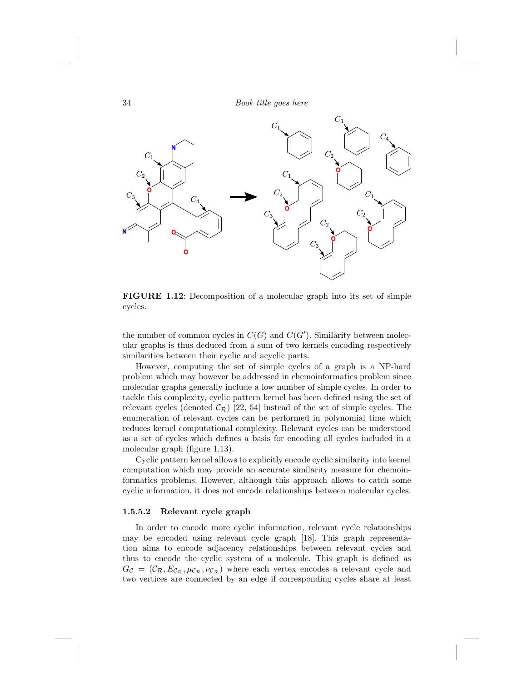

FIGURE 1.12: Decomposition of a molecular graph into its set of simple cycles.

the number of common cycles in  $C(G)$  and  $C(G')$ . Similarity between molecular graphs is thus deduced from a sum of two kernels encoding respectively similarities between their cyclic and acyclic parts.

However, computing the set of simple cycles of a graph is a NP-hard problem which may however be addressed in chemoinformatics problem since molecular graphs generally include a low number of simple cycles. In order to tackle this complexity, cyclic pattern kernel has been defined using the set of relevant cycles (denoted  $\mathcal{C}_{\mathcal{R}}$ ) [22, 54] instead of the set of simple cycles. The enumeration of relevant cycles can be performed in polynomial time which reduces kernel computational complexity. Relevant cycles can be understood as a set of cycles which defines a basis for encoding all cycles included in a molecular graph (figure 1.13).

Cyclic pattern kernel allows to explicitly encode cyclic similarity into kernel computation which may provide an accurate similarity measure for chemoinformatics problems. However, although this approach allows to catch some cyclic information, it does not encode relationships between molecular cycles.

#### 1.5.5.2 Relevant cycle graph

In order to encode more cyclic information, relevant cycle relationships may be encoded using relevant cycle graph [18]. This graph representation aims to encode adjacency relationships between relevant cycles and thus to encode the cyclic system of a molecule. This graph is defined as  $G_{\mathcal{C}} = (\mathcal{C}_{\mathcal{R}}, E_{\mathcal{C}_{\mathcal{R}}}, \mu_{\mathcal{C}_{\mathcal{R}}}, \nu_{\mathcal{C}_{\mathcal{R}}})$  where each vertex encodes a relevant cycle and two vertices are connected by an edge if corresponding cycles share at least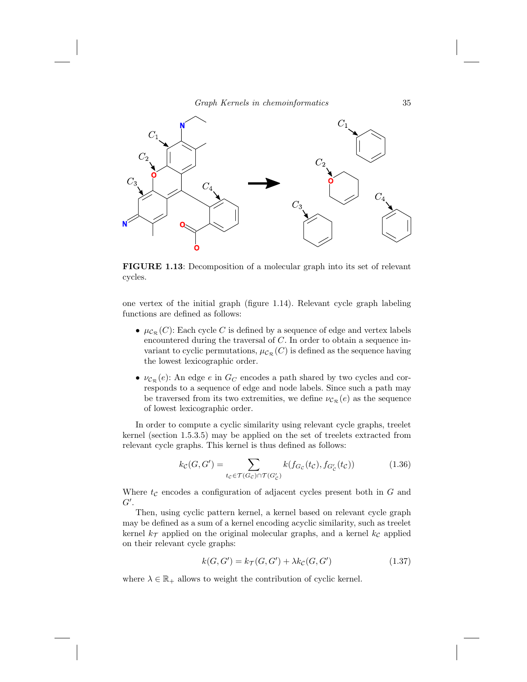Graph Kernels in chemoinformatics 35



FIGURE 1.13: Decomposition of a molecular graph into its set of relevant cycles.

one vertex of the initial graph (figure 1.14). Relevant cycle graph labeling functions are defined as follows:

- $\mu_{\mathcal{C}_{\mathcal{R}}}(C)$ : Each cycle C is defined by a sequence of edge and vertex labels encountered during the traversal of C. In order to obtain a sequence invariant to cyclic permutations,  $\mu_{\mathcal{C}_{\mathcal{R}}}(C)$  is defined as the sequence having the lowest lexicographic order.
- $\nu_{\mathcal{C}_{\mathcal{R}}}(e)$ : An edge e in  $G_C$  encodes a path shared by two cycles and corresponds to a sequence of edge and node labels. Since such a path may be traversed from its two extremities, we define  $\nu_{C_R}(e)$  as the sequence of lowest lexicographic order.

In order to compute a cyclic similarity using relevant cycle graphs, treelet kernel (section 1.5.3.5) may be applied on the set of treelets extracted from relevant cycle graphs. This kernel is thus defined as follows:

$$
k_{\mathcal{C}}(G, G') = \sum_{t_{\mathcal{C}} \in \mathcal{T}(G_{\mathcal{C}}) \cap \mathcal{T}(G'_{\mathcal{C}})} k(f_{G_{\mathcal{C}}}(t_{\mathcal{C}}), f_{G'_{\mathcal{C}}}(t_{\mathcal{C}}))
$$
(1.36)

Where  $t_c$  encodes a configuration of adjacent cycles present both in  $G$  and  $G^{\prime}$ .

Then, using cyclic pattern kernel, a kernel based on relevant cycle graph may be defined as a sum of a kernel encoding acyclic similarity, such as treelet kernel  $k_{\mathcal{T}}$  applied on the original molecular graphs, and a kernel  $k_{\mathcal{C}}$  applied on their relevant cycle graphs:

$$
k(G, G') = k_{\mathcal{T}}(G, G') + \lambda k_{\mathcal{C}}(G, G')
$$
\n(1.37)

where  $\lambda \in \mathbb{R}_+$  allows to weight the contribution of cyclic kernel.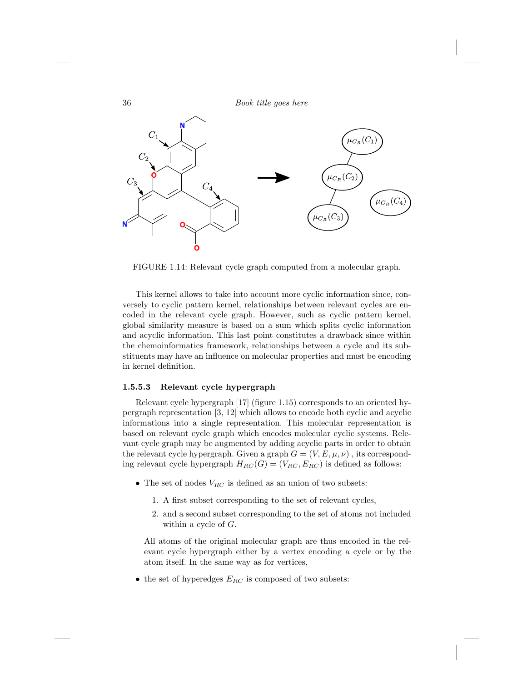

FIGURE 1.14: Relevant cycle graph computed from a molecular graph.

This kernel allows to take into account more cyclic information since, conversely to cyclic pattern kernel, relationships between relevant cycles are encoded in the relevant cycle graph. However, such as cyclic pattern kernel, global similarity measure is based on a sum which splits cyclic information and acyclic information. This last point constitutes a drawback since within the chemoinformatics framework, relationships between a cycle and its substituents may have an influence on molecular properties and must be encoding in kernel definition.

#### 1.5.5.3 Relevant cycle hypergraph

Relevant cycle hypergraph [17] (figure 1.15) corresponds to an oriented hypergraph representation [3, 12] which allows to encode both cyclic and acyclic informations into a single representation. This molecular representation is based on relevant cycle graph which encodes molecular cyclic systems. Relevant cycle graph may be augmented by adding acyclic parts in order to obtain the relevant cycle hypergraph. Given a graph  $G = (V, E, \mu, \nu)$ , its corresponding relevant cycle hypergraph  $H_{RC}(G) = (V_{RC}, E_{RC})$  is defined as follows:

- The set of nodes  $V_{RC}$  is defined as an union of two subsets:
	- 1. A first subset corresponding to the set of relevant cycles,
	- 2. and a second subset corresponding to the set of atoms not included within a cycle of G.

All atoms of the original molecular graph are thus encoded in the relevant cycle hypergraph either by a vertex encoding a cycle or by the atom itself. In the same way as for vertices,

• the set of hyperedges  $E_{RC}$  is composed of two subsets: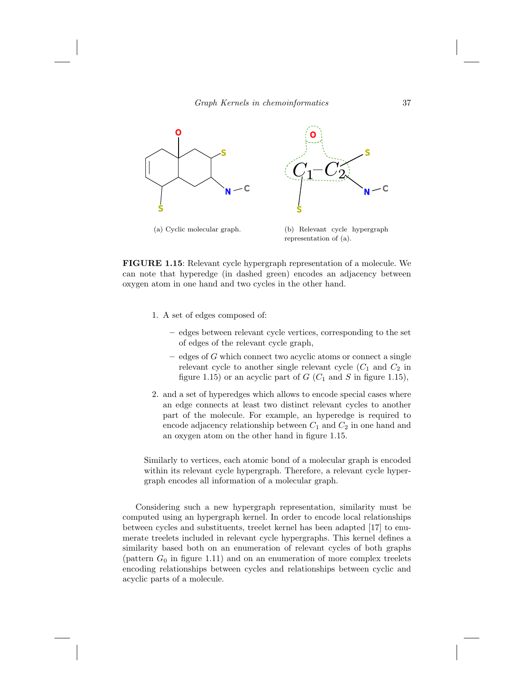

FIGURE 1.15: Relevant cycle hypergraph representation of a molecule. We can note that hyperedge (in dashed green) encodes an adjacency between oxygen atom in one hand and two cycles in the other hand.

- 1. A set of edges composed of:
	- edges between relevant cycle vertices, corresponding to the set of edges of the relevant cycle graph,
	- $-$  edges of G which connect two acyclic atoms or connect a single relevant cycle to another single relevant cycle  $(C_1$  and  $C_2$  in figure 1.15) or an acyclic part of  $G$  ( $C_1$  and  $S$  in figure 1.15),
- 2. and a set of hyperedges which allows to encode special cases where an edge connects at least two distinct relevant cycles to another part of the molecule. For example, an hyperedge is required to encode adjacency relationship between  $C_1$  and  $C_2$  in one hand and an oxygen atom on the other hand in figure 1.15.

Similarly to vertices, each atomic bond of a molecular graph is encoded within its relevant cycle hypergraph. Therefore, a relevant cycle hypergraph encodes all information of a molecular graph.

Considering such a new hypergraph representation, similarity must be computed using an hypergraph kernel. In order to encode local relationships between cycles and substituents, treelet kernel has been adapted [17] to enumerate treelets included in relevant cycle hypergraphs. This kernel defines a similarity based both on an enumeration of relevant cycles of both graphs (pattern  $G_0$  in figure 1.11) and on an enumeration of more complex treelets encoding relationships between cycles and relationships between cyclic and acyclic parts of a molecule.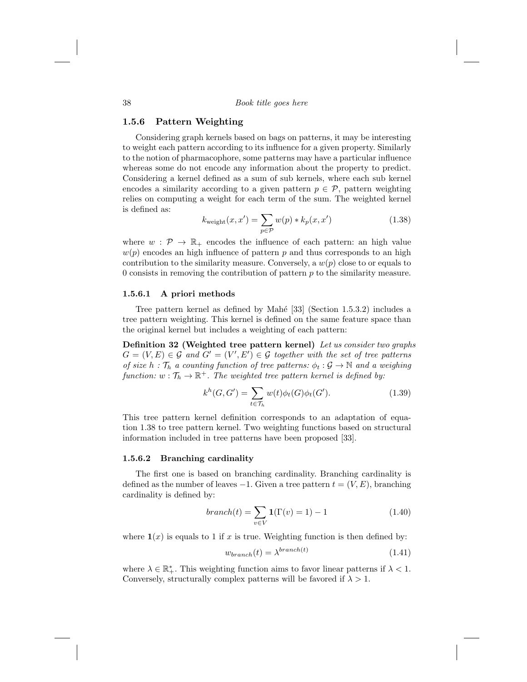#### 1.5.6 Pattern Weighting

Considering graph kernels based on bags on patterns, it may be interesting to weight each pattern according to its influence for a given property. Similarly to the notion of pharmacophore, some patterns may have a particular influence whereas some do not encode any information about the property to predict. Considering a kernel defined as a sum of sub kernels, where each sub kernel encodes a similarity according to a given pattern  $p \in \mathcal{P}$ , pattern weighting relies on computing a weight for each term of the sum. The weighted kernel is defined as:

$$
k_{\text{weight}}(x, x') = \sum_{p \in \mathcal{P}} w(p) * k_p(x, x')
$$
 (1.38)

where  $w : \mathcal{P} \to \mathbb{R}_{+}$  encodes the influence of each pattern: an high value  $w(p)$  encodes an high influence of pattern p and thus corresponds to an high contribution to the similarity measure. Conversely, a  $w(p)$  close to or equals to 0 consists in removing the contribution of pattern  $p$  to the similarity measure.

#### 1.5.6.1 A priori methods

Tree pattern kernel as defined by Mahé [33] (Section 1.5.3.2) includes a tree pattern weighting. This kernel is defined on the same feature space than the original kernel but includes a weighting of each pattern:

Definition 32 (Weighted tree pattern kernel) Let us consider two graphs  $G = (V, E) \in \mathcal{G}$  and  $G' = (V', E') \in \mathcal{G}$  together with the set of tree patterns of size  $h : \mathcal{T}_h$  a counting function of tree patterns:  $\phi_t : \mathcal{G} \to \mathbb{N}$  and a weighing function:  $w: \mathcal{T}_h \to \mathbb{R}^+$ . The weighted tree pattern kernel is defined by:

$$
k^{h}(G, G') = \sum_{t \in \mathcal{T}_{h}} w(t)\phi_{t}(G)\phi_{t}(G').
$$
\n(1.39)

This tree pattern kernel definition corresponds to an adaptation of equation 1.38 to tree pattern kernel. Two weighting functions based on structural information included in tree patterns have been proposed [33].

#### 1.5.6.2 Branching cardinality

The first one is based on branching cardinality. Branching cardinality is defined as the number of leaves  $-1$ . Given a tree pattern  $t = (V, E)$ , branching cardinality is defined by:

$$
branch(t) = \sum_{v \in V} \mathbf{1}(\Gamma(v) = 1) - 1 \tag{1.40}
$$

where  $\mathbf{1}(x)$  is equals to 1 if x is true. Weighting function is then defined by:

$$
w_{branch}(t) = \lambda^{branch(t)} \tag{1.41}
$$

where  $\lambda \in \mathbb{R}_+^*$ . This weighting function aims to favor linear patterns if  $\lambda < 1$ . Conversely, structurally complex patterns will be favored if  $\lambda > 1$ .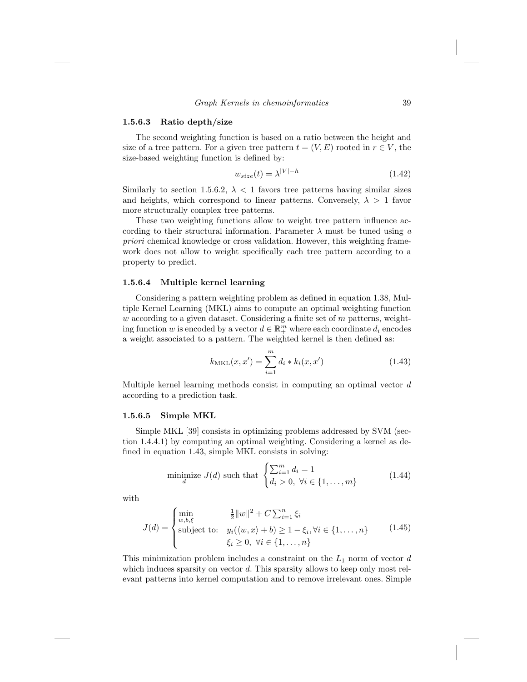#### 1.5.6.3 Ratio depth/size

The second weighting function is based on a ratio between the height and size of a tree pattern. For a given tree pattern  $t = (V, E)$  rooted in  $r \in V$ , the size-based weighting function is defined by:

$$
w_{size}(t) = \lambda^{|V|-h} \tag{1.42}
$$

Similarly to section 1.5.6.2,  $\lambda$  < 1 favors tree patterns having similar sizes and heights, which correspond to linear patterns. Conversely,  $\lambda > 1$  favor more structurally complex tree patterns.

These two weighting functions allow to weight tree pattern influence according to their structural information. Parameter  $\lambda$  must be tuned using a priori chemical knowledge or cross validation. However, this weighting framework does not allow to weight specifically each tree pattern according to a property to predict.

#### 1.5.6.4 Multiple kernel learning

Considering a pattern weighting problem as defined in equation 1.38, Multiple Kernel Learning (MKL) aims to compute an optimal weighting function w according to a given dataset. Considering a finite set of  $m$  patterns, weighting function w is encoded by a vector  $d \in \mathbb{R}^m_+$  where each coordinate  $d_i$  encodes a weight associated to a pattern. The weighted kernel is then defined as:

$$
k_{\text{MKL}}(x, x') = \sum_{i=1}^{m} d_i * k_i(x, x')
$$
 (1.43)

Multiple kernel learning methods consist in computing an optimal vector d according to a prediction task.

#### 1.5.6.5 Simple MKL

Simple MKL [39] consists in optimizing problems addressed by SVM (section 1.4.4.1) by computing an optimal weighting. Considering a kernel as defined in equation 1.43, simple MKL consists in solving:

$$
\underset{d}{\text{minimize}} \ J(d) \text{ such that } \begin{cases} \sum_{i=1}^{m} d_i = 1\\ d_i > 0, \ \forall i \in \{1, \dots, m\} \end{cases} \tag{1.44}
$$

with

$$
J(d) = \begin{cases} \min_{w,b,\xi} & \frac{1}{2} ||w||^2 + C \sum_{i=1}^n \xi_i \\ \text{subject to:} & y_i(\langle w, x \rangle + b) \ge 1 - \xi_i, \forall i \in \{1, ..., n\} \\ & \xi_i \ge 0, \ \forall i \in \{1, ..., n\} \end{cases}
$$
(1.45)

This minimization problem includes a constraint on the  $L_1$  norm of vector d which induces sparsity on vector  $d$ . This sparsity allows to keep only most relevant patterns into kernel computation and to remove irrelevant ones. Simple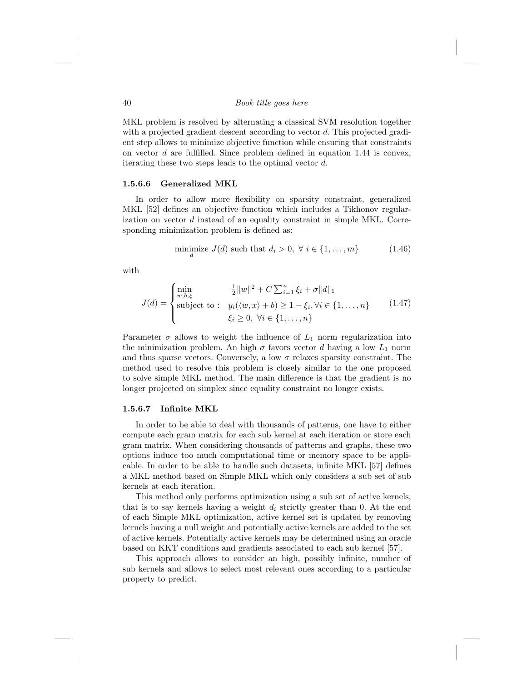MKL problem is resolved by alternating a classical SVM resolution together with a projected gradient descent according to vector d. This projected gradient step allows to minimize objective function while ensuring that constraints on vector  $d$  are fulfilled. Since problem defined in equation 1.44 is convex, iterating these two steps leads to the optimal vector d.

#### 1.5.6.6 Generalized MKL

In order to allow more flexibility on sparsity constraint, generalized MKL [52] defines an objective function which includes a Tikhonov regularization on vector  $d$  instead of an equality constraint in simple MKL. Corresponding minimization problem is defined as:

$$
\underset{d}{\text{minimize}} \ J(d) \text{ such that } d_i > 0, \ \forall \ i \in \{1, \dots, m\} \tag{1.46}
$$

with

$$
J(d) = \begin{cases} \min_{w,b,\xi} & \frac{1}{2} \|w\|^2 + C \sum_{i=1}^n \xi_i + \sigma \|d\|_1\\ \text{subject to} & \text{subject to } y_i(\langle w, x \rangle + b) \ge 1 - \xi_i, \forall i \in \{1, \dots, n\} \end{cases} \tag{1.47}
$$
\n
$$
\xi_i \ge 0, \forall i \in \{1, \dots, n\}
$$

Parameter  $\sigma$  allows to weight the influence of  $L_1$  norm regularization into the minimization problem. An high  $\sigma$  favors vector d having a low  $L_1$  norm and thus sparse vectors. Conversely, a low  $\sigma$  relaxes sparsity constraint. The method used to resolve this problem is closely similar to the one proposed to solve simple MKL method. The main difference is that the gradient is no longer projected on simplex since equality constraint no longer exists.

#### 1.5.6.7 Infinite MKL

In order to be able to deal with thousands of patterns, one have to either compute each gram matrix for each sub kernel at each iteration or store each gram matrix. When considering thousands of patterns and graphs, these two options induce too much computational time or memory space to be applicable. In order to be able to handle such datasets, infinite MKL [57] defines a MKL method based on Simple MKL which only considers a sub set of sub kernels at each iteration.

This method only performs optimization using a sub set of active kernels, that is to say kernels having a weight  $d_i$  strictly greater than 0. At the end of each Simple MKL optimization, active kernel set is updated by removing kernels having a null weight and potentially active kernels are added to the set of active kernels. Potentially active kernels may be determined using an oracle based on KKT conditions and gradients associated to each sub kernel [57].

This approach allows to consider an high, possibly infinite, number of sub kernels and allows to select most relevant ones according to a particular property to predict.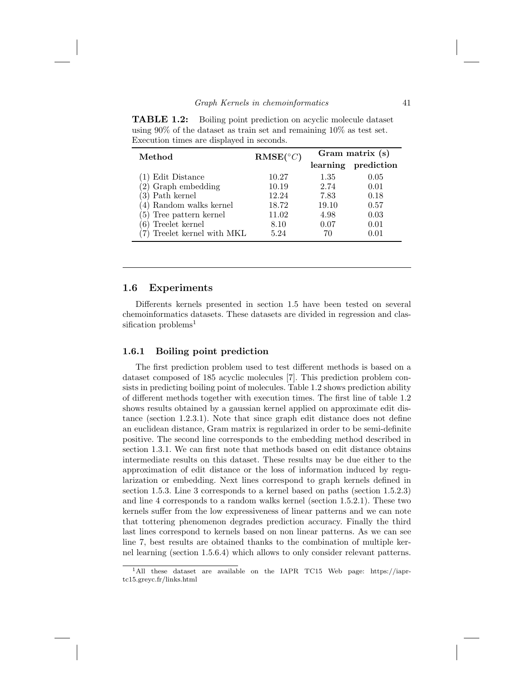**TABLE 1.2:** Boiling point prediction on acyclic molecule dataset using 90% of the dataset as train set and remaining 10% as test set. Execution times are displayed in seconds.

| Method                  | RMSE(°C) | Gram matrix (s) |            |  |
|-------------------------|----------|-----------------|------------|--|
|                         |          | learning        | prediction |  |
| 1) Edit Distance        | 10.27    | 1.35            | 0.05       |  |
| Graph embedding         | 10.19    | 2.74            | 0.01       |  |
| Path kernel             | 12.24    | 7.83            | 0.18       |  |
| (4) Random walks kernel | 18.72    | 19.10           | 0.57       |  |
| Tree pattern kernel     | 11.02    | 4.98            | 0.03       |  |
| Treelet kernel          | 8.10     | 0.07            | 0.01       |  |
| Treelet kernel with MKL | 5 24     | 70              | 0.01       |  |

#### 1.6 Experiments

Differents kernels presented in section 1.5 have been tested on several chemoinformatics datasets. These datasets are divided in regression and classification problems<sup>1</sup>

#### 1.6.1 Boiling point prediction

The first prediction problem used to test different methods is based on a dataset composed of 185 acyclic molecules [7]. This prediction problem consists in predicting boiling point of molecules. Table 1.2 shows prediction ability of different methods together with execution times. The first line of table 1.2 shows results obtained by a gaussian kernel applied on approximate edit distance (section 1.2.3.1). Note that since graph edit distance does not define an euclidean distance, Gram matrix is regularized in order to be semi-definite positive. The second line corresponds to the embedding method described in section 1.3.1. We can first note that methods based on edit distance obtains intermediate results on this dataset. These results may be due either to the approximation of edit distance or the loss of information induced by regularization or embedding. Next lines correspond to graph kernels defined in section 1.5.3. Line 3 corresponds to a kernel based on paths (section 1.5.2.3) and line 4 corresponds to a random walks kernel (section 1.5.2.1). These two kernels suffer from the low expressiveness of linear patterns and we can note that tottering phenomenon degrades prediction accuracy. Finally the third last lines correspond to kernels based on non linear patterns. As we can see line 7, best results are obtained thanks to the combination of multiple kernel learning (section 1.5.6.4) which allows to only consider relevant patterns.

<sup>1</sup>All these dataset are available on the IAPR TC15 Web page: https://iaprtc15.greyc.fr/links.html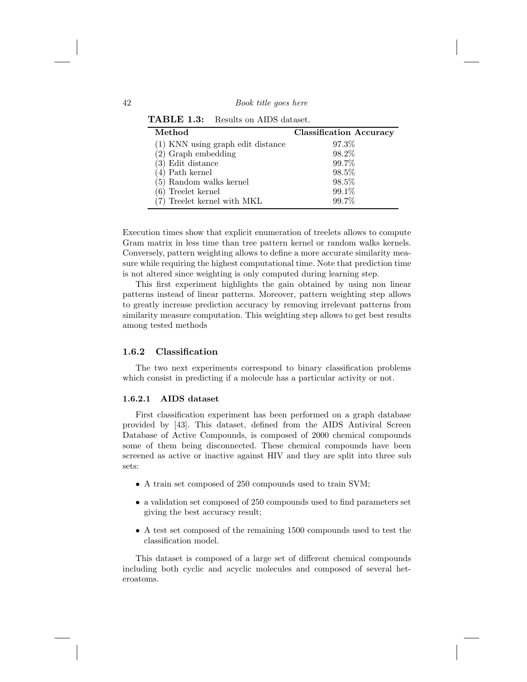| Method                            | <b>Classification Accuracy</b> |
|-----------------------------------|--------------------------------|
| (1) KNN using graph edit distance | 97.3%                          |
| (2) Graph embedding               | 98.2%                          |
| (3) Edit distance                 | 99.7%                          |
| (4) Path kernel                   | 98.5%                          |
| (5) Random walks kernel           | 98.5%                          |
| (6) Treelet kernel                | 99.1%                          |
| (7) Treelet kernel with MKL       | 99.7%                          |

TABLE 1.3: Results on AIDS dataset.

Execution times show that explicit enumeration of treelets allows to compute Gram matrix in less time than tree pattern kernel or random walks kernels. Conversely, pattern weighting allows to define a more accurate similarity measure while requiring the highest computational time. Note that prediction time is not altered since weighting is only computed during learning step.

This first experiment highlights the gain obtained by using non linear patterns instead of linear patterns. Moreover, pattern weighting step allows to greatly increase prediction accuracy by removing irrelevant patterns from similarity measure computation. This weighting step allows to get best results among tested methods

#### 1.6.2 Classification

The two next experiments correspond to binary classification problems which consist in predicting if a molecule has a particular activity or not.

#### 1.6.2.1 AIDS dataset

First classification experiment has been performed on a graph database provided by [43]. This dataset, defined from the AIDS Antiviral Screen Database of Active Compounds, is composed of 2000 chemical compounds some of them being disconnected. These chemical compounds have been screened as active or inactive against HIV and they are split into three sub sets:

- A train set composed of 250 compounds used to train SVM;
- a validation set composed of 250 compounds used to find parameters set giving the best accuracy result;
- A test set composed of the remaining 1500 compounds used to test the classification model.

This dataset is composed of a large set of different chemical compounds including both cyclic and acyclic molecules and composed of several heteroatoms.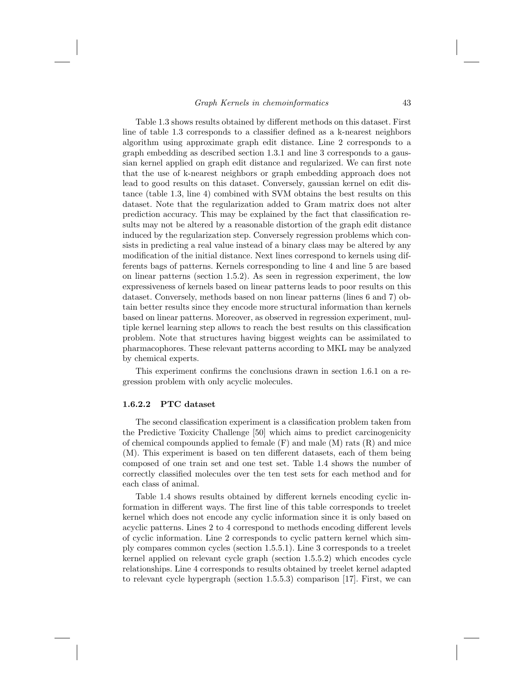#### Graph Kernels in chemoinformatics 43

Table 1.3 shows results obtained by different methods on this dataset. First line of table 1.3 corresponds to a classifier defined as a k-nearest neighbors algorithm using approximate graph edit distance. Line 2 corresponds to a graph embedding as described section 1.3.1 and line 3 corresponds to a gaussian kernel applied on graph edit distance and regularized. We can first note that the use of k-nearest neighbors or graph embedding approach does not lead to good results on this dataset. Conversely, gaussian kernel on edit distance (table 1.3, line 4) combined with SVM obtains the best results on this dataset. Note that the regularization added to Gram matrix does not alter prediction accuracy. This may be explained by the fact that classification results may not be altered by a reasonable distortion of the graph edit distance induced by the regularization step. Conversely regression problems which consists in predicting a real value instead of a binary class may be altered by any modification of the initial distance. Next lines correspond to kernels using differents bags of patterns. Kernels corresponding to line 4 and line 5 are based on linear patterns (section 1.5.2). As seen in regression experiment, the low expressiveness of kernels based on linear patterns leads to poor results on this dataset. Conversely, methods based on non linear patterns (lines 6 and 7) obtain better results since they encode more structural information than kernels based on linear patterns. Moreover, as observed in regression experiment, multiple kernel learning step allows to reach the best results on this classification problem. Note that structures having biggest weights can be assimilated to pharmacophores. These relevant patterns according to MKL may be analyzed by chemical experts.

This experiment confirms the conclusions drawn in section 1.6.1 on a regression problem with only acyclic molecules.

#### 1.6.2.2 PTC dataset

The second classification experiment is a classification problem taken from the Predictive Toxicity Challenge [50] which aims to predict carcinogenicity of chemical compounds applied to female  $(F)$  and male  $(M)$  rats  $(R)$  and mice (M). This experiment is based on ten different datasets, each of them being composed of one train set and one test set. Table 1.4 shows the number of correctly classified molecules over the ten test sets for each method and for each class of animal.

Table 1.4 shows results obtained by different kernels encoding cyclic information in different ways. The first line of this table corresponds to treelet kernel which does not encode any cyclic information since it is only based on acyclic patterns. Lines 2 to 4 correspond to methods encoding different levels of cyclic information. Line 2 corresponds to cyclic pattern kernel which simply compares common cycles (section 1.5.5.1). Line 3 corresponds to a treelet kernel applied on relevant cycle graph (section 1.5.5.2) which encodes cycle relationships. Line 4 corresponds to results obtained by treelet kernel adapted to relevant cycle hypergraph (section 1.5.5.3) comparison [17]. First, we can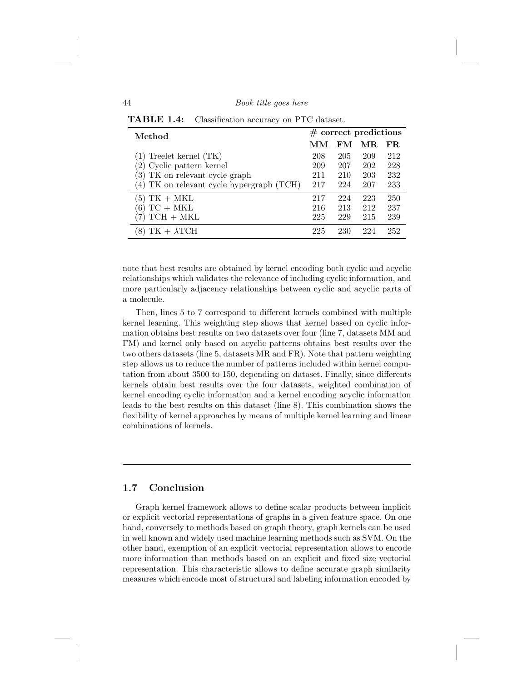44 Book title goes here

| Method                                    |     | $#$ correct predictions |     |     |  |
|-------------------------------------------|-----|-------------------------|-----|-----|--|
|                                           | MМ  | <b>FM</b>               | MR. | FR. |  |
| $(1)$ Treelet kernel $(TK)$               | 208 | 205                     | 209 | 212 |  |
| (2) Cyclic pattern kernel                 | 209 | 207                     | 202 | 228 |  |
| (3) TK on relevant cycle graph            | 211 | 210                     | 203 | 232 |  |
| (4) TK on relevant cycle hypergraph (TCH) | 217 | 224                     | 207 | 233 |  |
| $(5)$ TK $+$ MKL                          | 217 | 224                     | 223 | 250 |  |
| $TC + MKL$                                | 216 | 213                     | 212 | 237 |  |
| $TCH + MKL$                               | 225 | 229                     | 215 | 239 |  |
| $TK + \lambda TCH$                        | 225 | 230                     | 224 | 252 |  |

TABLE 1.4: Classification accuracy on PTC dataset.

note that best results are obtained by kernel encoding both cyclic and acyclic relationships which validates the relevance of including cyclic information, and more particularly adjacency relationships between cyclic and acyclic parts of a molecule.

Then, lines 5 to 7 correspond to different kernels combined with multiple kernel learning. This weighting step shows that kernel based on cyclic information obtains best results on two datasets over four (line 7, datasets MM and FM) and kernel only based on acyclic patterns obtains best results over the two others datasets (line 5, datasets MR and FR). Note that pattern weighting step allows us to reduce the number of patterns included within kernel computation from about 3500 to 150, depending on dataset. Finally, since differents kernels obtain best results over the four datasets, weighted combination of kernel encoding cyclic information and a kernel encoding acyclic information leads to the best results on this dataset (line 8). This combination shows the flexibility of kernel approaches by means of multiple kernel learning and linear combinations of kernels.

### 1.7 Conclusion

Graph kernel framework allows to define scalar products between implicit or explicit vectorial representations of graphs in a given feature space. On one hand, conversely to methods based on graph theory, graph kernels can be used in well known and widely used machine learning methods such as SVM. On the other hand, exemption of an explicit vectorial representation allows to encode more information than methods based on an explicit and fixed size vectorial representation. This characteristic allows to define accurate graph similarity measures which encode most of structural and labeling information encoded by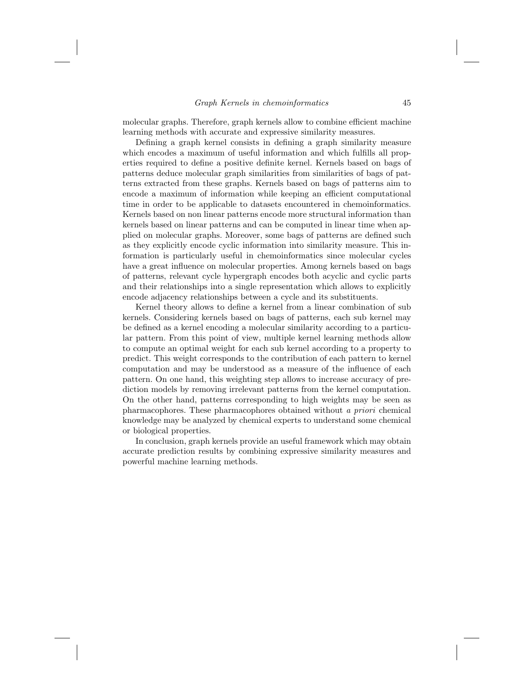#### Graph Kernels in chemoinformatics 45

molecular graphs. Therefore, graph kernels allow to combine efficient machine learning methods with accurate and expressive similarity measures.

Defining a graph kernel consists in defining a graph similarity measure which encodes a maximum of useful information and which fulfills all properties required to define a positive definite kernel. Kernels based on bags of patterns deduce molecular graph similarities from similarities of bags of patterns extracted from these graphs. Kernels based on bags of patterns aim to encode a maximum of information while keeping an efficient computational time in order to be applicable to datasets encountered in chemoinformatics. Kernels based on non linear patterns encode more structural information than kernels based on linear patterns and can be computed in linear time when applied on molecular graphs. Moreover, some bags of patterns are defined such as they explicitly encode cyclic information into similarity measure. This information is particularly useful in chemoinformatics since molecular cycles have a great influence on molecular properties. Among kernels based on bags of patterns, relevant cycle hypergraph encodes both acyclic and cyclic parts and their relationships into a single representation which allows to explicitly encode adjacency relationships between a cycle and its substituents.

Kernel theory allows to define a kernel from a linear combination of sub kernels. Considering kernels based on bags of patterns, each sub kernel may be defined as a kernel encoding a molecular similarity according to a particular pattern. From this point of view, multiple kernel learning methods allow to compute an optimal weight for each sub kernel according to a property to predict. This weight corresponds to the contribution of each pattern to kernel computation and may be understood as a measure of the influence of each pattern. On one hand, this weighting step allows to increase accuracy of prediction models by removing irrelevant patterns from the kernel computation. On the other hand, patterns corresponding to high weights may be seen as pharmacophores. These pharmacophores obtained without a priori chemical knowledge may be analyzed by chemical experts to understand some chemical or biological properties.

In conclusion, graph kernels provide an useful framework which may obtain accurate prediction results by combining expressive similarity measures and powerful machine learning methods.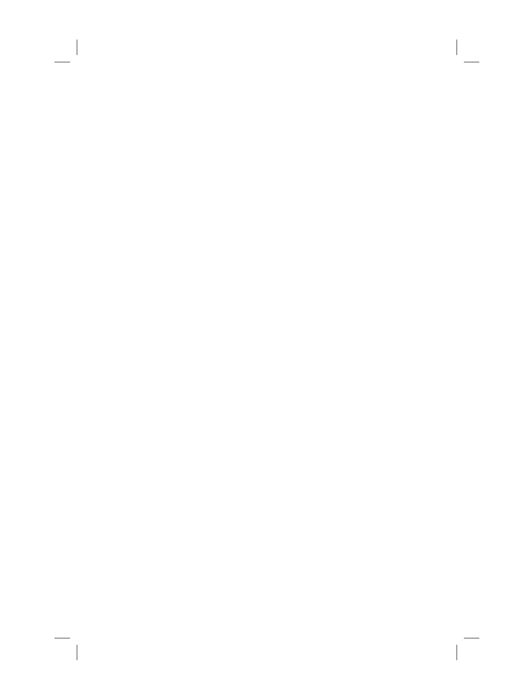$\frac{1}{2}$  $\begin{array}{|c|c|} \hline \quad \quad & \quad \\ \hline \quad \quad & \quad \\ \hline \quad \quad & \quad \\ \hline \end{array}$  $\frac{1}{\sqrt{2\pi}}$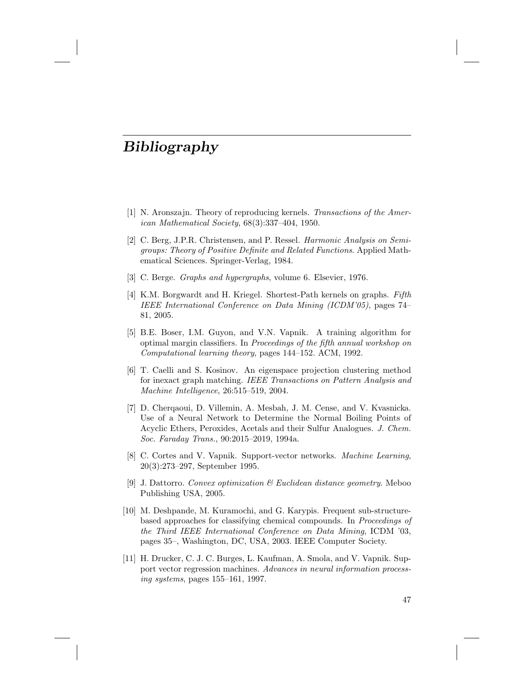### Bibliography

- [1] N. Aronszajn. Theory of reproducing kernels. Transactions of the American Mathematical Society, 68(3):337–404, 1950.
- [2] C. Berg, J.P.R. Christensen, and P. Ressel. Harmonic Analysis on Semigroups: Theory of Positive Definite and Related Functions. Applied Mathematical Sciences. Springer-Verlag, 1984.
- [3] C. Berge. *Graphs and hypergraphs*, volume 6. Elsevier, 1976.
- [4] K.M. Borgwardt and H. Kriegel. Shortest-Path kernels on graphs. Fifth IEEE International Conference on Data Mining (ICDM'05), pages 74– 81, 2005.
- [5] B.E. Boser, I.M. Guyon, and V.N. Vapnik. A training algorithm for optimal margin classifiers. In Proceedings of the fifth annual workshop on Computational learning theory, pages 144–152. ACM, 1992.
- [6] T. Caelli and S. Kosinov. An eigenspace projection clustering method for inexact graph matching. IEEE Transactions on Pattern Analysis and Machine Intelligence, 26:515–519, 2004.
- [7] D. Cherqaoui, D. Villemin, A. Mesbah, J. M. Cense, and V. Kvasnicka. Use of a Neural Network to Determine the Normal Boiling Points of Acyclic Ethers, Peroxides, Acetals and their Sulfur Analogues. J. Chem. Soc. Faraday Trans., 90:2015–2019, 1994a.
- [8] C. Cortes and V. Vapnik. Support-vector networks. Machine Learning, 20(3):273–297, September 1995.
- [9] J. Dattorro. Convex optimization & Euclidean distance geometry. Meboo Publishing USA, 2005.
- [10] M. Deshpande, M. Kuramochi, and G. Karypis. Frequent sub-structurebased approaches for classifying chemical compounds. In Proceedings of the Third IEEE International Conference on Data Mining, ICDM '03, pages 35–, Washington, DC, USA, 2003. IEEE Computer Society.
- [11] H. Drucker, C. J. C. Burges, L. Kaufman, A. Smola, and V. Vapnik. Support vector regression machines. Advances in neural information processing systems, pages 155–161, 1997.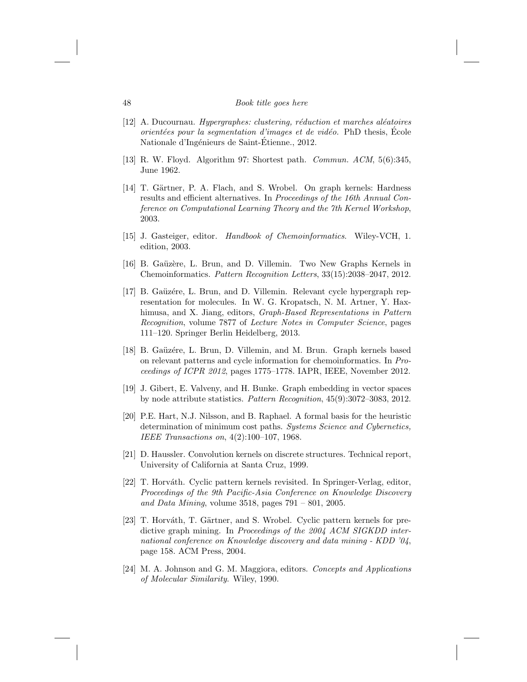- [12] A. Ducournau. Hypergraphes: clustering, réduction et marches aléatoires  $orientées pour la segmentation d'images et de vidéo. PhD thesis, École$ Nationale d'Ingénieurs de Saint-Étienne., 2012.
- [13] R. W. Floyd. Algorithm 97: Shortest path. Commun. ACM, 5(6):345, June 1962.
- [14] T. Gärtner, P. A. Flach, and S. Wrobel. On graph kernels: Hardness results and efficient alternatives. In Proceedings of the 16th Annual Conference on Computational Learning Theory and the 7th Kernel Workshop, 2003.
- [15] J. Gasteiger, editor. Handbook of Chemoinformatics. Wiley-VCH, 1. edition, 2003.
- [16] B. Gaüzère, L. Brun, and D. Villemin. Two New Graphs Kernels in Chemoinformatics. Pattern Recognition Letters, 33(15):2038–2047, 2012.
- [17] B. Gaüzére, L. Brun, and D. Villemin. Relevant cycle hypergraph representation for molecules. In W. G. Kropatsch, N. M. Artner, Y. Haxhimusa, and X. Jiang, editors, Graph-Based Representations in Pattern Recognition, volume 7877 of Lecture Notes in Computer Science, pages 111–120. Springer Berlin Heidelberg, 2013.
- [18] B. Gaüzére, L. Brun, D. Villemin, and M. Brun. Graph kernels based on relevant patterns and cycle information for chemoinformatics. In Proceedings of ICPR 2012, pages 1775–1778. IAPR, IEEE, November 2012.
- [19] J. Gibert, E. Valveny, and H. Bunke. Graph embedding in vector spaces by node attribute statistics. Pattern Recognition, 45(9):3072–3083, 2012.
- [20] P.E. Hart, N.J. Nilsson, and B. Raphael. A formal basis for the heuristic determination of minimum cost paths. Systems Science and Cybernetics, IEEE Transactions on, 4(2):100–107, 1968.
- [21] D. Haussler. Convolution kernels on discrete structures. Technical report, University of California at Santa Cruz, 1999.
- [22] T. Horváth. Cyclic pattern kernels revisited. In Springer-Verlag, editor, Proceedings of the 9th Pacific-Asia Conference on Knowledge Discovery and Data Mining, volume  $3518$ , pages  $791 - 801$ ,  $2005$ .
- [23] T. Horváth, T. Gärtner, and S. Wrobel. Cyclic pattern kernels for predictive graph mining. In Proceedings of the 2004 ACM SIGKDD international conference on Knowledge discovery and data mining - KDD '04, page 158. ACM Press, 2004.
- [24] M. A. Johnson and G. M. Maggiora, editors. Concepts and Applications of Molecular Similarity. Wiley, 1990.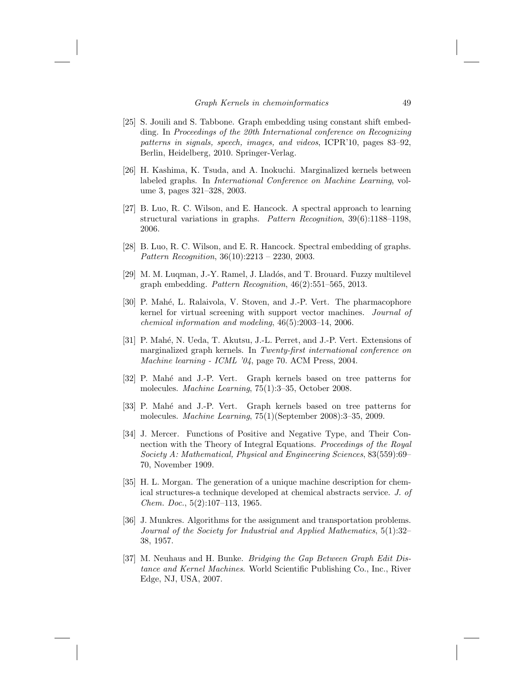- [25] S. Jouili and S. Tabbone. Graph embedding using constant shift embedding. In Proceedings of the 20th International conference on Recognizing patterns in signals, speech, images, and videos, ICPR'10, pages 83–92, Berlin, Heidelberg, 2010. Springer-Verlag.
- [26] H. Kashima, K. Tsuda, and A. Inokuchi. Marginalized kernels between labeled graphs. In International Conference on Machine Learning, volume 3, pages 321–328, 2003.
- [27] B. Luo, R. C. Wilson, and E. Hancock. A spectral approach to learning structural variations in graphs. Pattern Recognition, 39(6):1188–1198, 2006.
- [28] B. Luo, R. C. Wilson, and E. R. Hancock. Spectral embedding of graphs. Pattern Recognition, 36(10):2213 – 2230, 2003.
- [29] M. M. Luqman, J.-Y. Ramel, J. Lladós, and T. Brouard. Fuzzy multilevel graph embedding. Pattern Recognition, 46(2):551–565, 2013.
- [30] P. Mahé, L. Ralaivola, V. Stoven, and J.-P. Vert. The pharmacophore kernel for virtual screening with support vector machines. Journal of chemical information and modeling, 46(5):2003–14, 2006.
- [31] P. Mahé, N. Ueda, T. Akutsu, J.-L. Perret, and J.-P. Vert. Extensions of marginalized graph kernels. In Twenty-first international conference on Machine learning - ICML '04, page 70. ACM Press, 2004.
- [32] P. Mahé and J.-P. Vert. Graph kernels based on tree patterns for molecules. Machine Learning, 75(1):3–35, October 2008.
- [33] P. Mahé and J.-P. Vert. Graph kernels based on tree patterns for molecules. Machine Learning, 75(1)(September 2008):3–35, 2009.
- [34] J. Mercer. Functions of Positive and Negative Type, and Their Connection with the Theory of Integral Equations. Proceedings of the Royal Society A: Mathematical, Physical and Engineering Sciences, 83(559):69– 70, November 1909.
- [35] H. L. Morgan. The generation of a unique machine description for chemical structures-a technique developed at chemical abstracts service. J. of Chem. Doc., 5(2):107–113, 1965.
- [36] J. Munkres. Algorithms for the assignment and transportation problems. Journal of the Society for Industrial and Applied Mathematics, 5(1):32– 38, 1957.
- [37] M. Neuhaus and H. Bunke. *Bridging the Gap Between Graph Edit Dis*tance and Kernel Machines. World Scientific Publishing Co., Inc., River Edge, NJ, USA, 2007.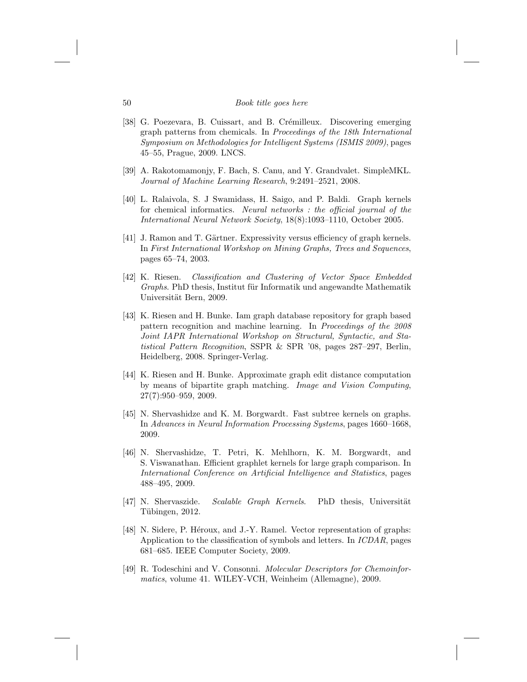- [38] G. Poezevara, B. Cuissart, and B. Crémilleux. Discovering emerging graph patterns from chemicals. In Proceedings of the 18th International Symposium on Methodologies for Intelligent Systems (ISMIS 2009), pages 45–55, Prague, 2009. LNCS.
- [39] A. Rakotomamonjy, F. Bach, S. Canu, and Y. Grandvalet. SimpleMKL. Journal of Machine Learning Research, 9:2491–2521, 2008.
- [40] L. Ralaivola, S. J Swamidass, H. Saigo, and P. Baldi. Graph kernels for chemical informatics. Neural networks : the official journal of the International Neural Network Society, 18(8):1093–1110, October 2005.
- [41] J. Ramon and T. Gärtner. Expressivity versus efficiency of graph kernels. In First International Workshop on Mining Graphs, Trees and Sequences, pages 65–74, 2003.
- [42] K. Riesen. Classification and Clustering of Vector Space Embedded Graphs. PhD thesis, Institut für Informatik und angewandte Mathematik Universität Bern, 2009.
- [43] K. Riesen and H. Bunke. Iam graph database repository for graph based pattern recognition and machine learning. In Proceedings of the 2008 Joint IAPR International Workshop on Structural, Syntactic, and Statistical Pattern Recognition, SSPR & SPR '08, pages 287–297, Berlin, Heidelberg, 2008. Springer-Verlag.
- [44] K. Riesen and H. Bunke. Approximate graph edit distance computation by means of bipartite graph matching. Image and Vision Computing, 27(7):950–959, 2009.
- [45] N. Shervashidze and K. M. Borgwardt. Fast subtree kernels on graphs. In Advances in Neural Information Processing Systems, pages 1660–1668, 2009.
- [46] N. Shervashidze, T. Petri, K. Mehlhorn, K. M. Borgwardt, and S. Viswanathan. Efficient graphlet kernels for large graph comparison. In International Conference on Artificial Intelligence and Statistics, pages 488–495, 2009.
- [47] N. Shervaszide. Scalable Graph Kernels. PhD thesis, Universität Tübingen, 2012.
- [48] N. Sidere, P. Héroux, and J.-Y. Ramel. Vector representation of graphs: Application to the classification of symbols and letters. In ICDAR, pages 681–685. IEEE Computer Society, 2009.
- [49] R. Todeschini and V. Consonni. Molecular Descriptors for Chemoinformatics, volume 41. WILEY-VCH, Weinheim (Allemagne), 2009.